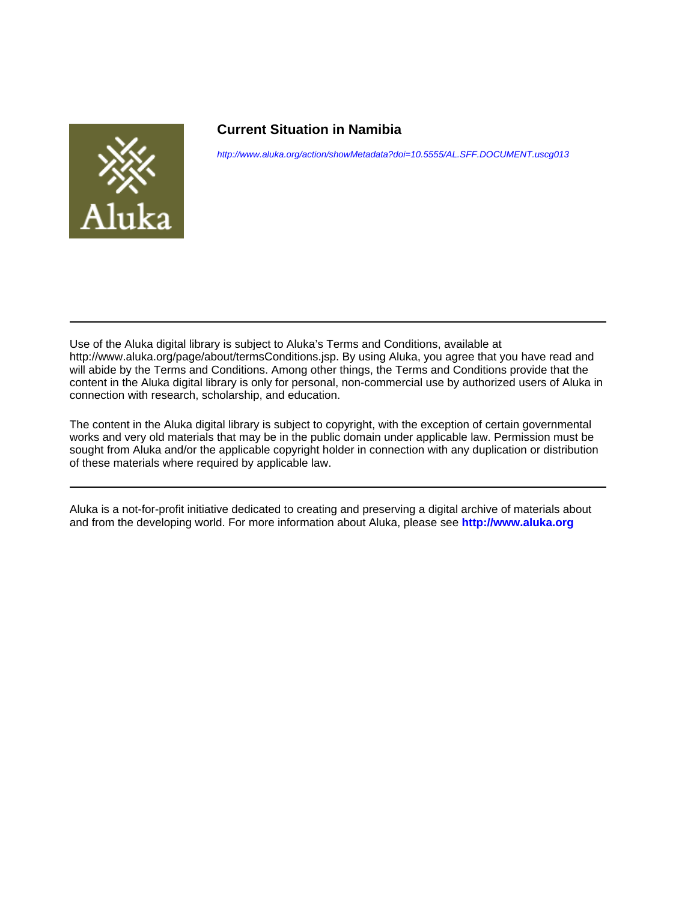

### **Current Situation in Namibia**

<http://www.aluka.org/action/showMetadata?doi=10.5555/AL.SFF.DOCUMENT.uscg013>

Use of the Aluka digital library is subject to Aluka's Terms and Conditions, available at http://www.aluka.org/page/about/termsConditions.jsp. By using Aluka, you agree that you have read and will abide by the Terms and Conditions. Among other things, the Terms and Conditions provide that the content in the Aluka digital library is only for personal, non-commercial use by authorized users of Aluka in connection with research, scholarship, and education.

The content in the Aluka digital library is subject to copyright, with the exception of certain governmental works and very old materials that may be in the public domain under applicable law. Permission must be sought from Aluka and/or the applicable copyright holder in connection with any duplication or distribution of these materials where required by applicable law.

Aluka is a not-for-profit initiative dedicated to creating and preserving a digital archive of materials about and from the developing world. For more information about Aluka, please see **<http://www.aluka.org>**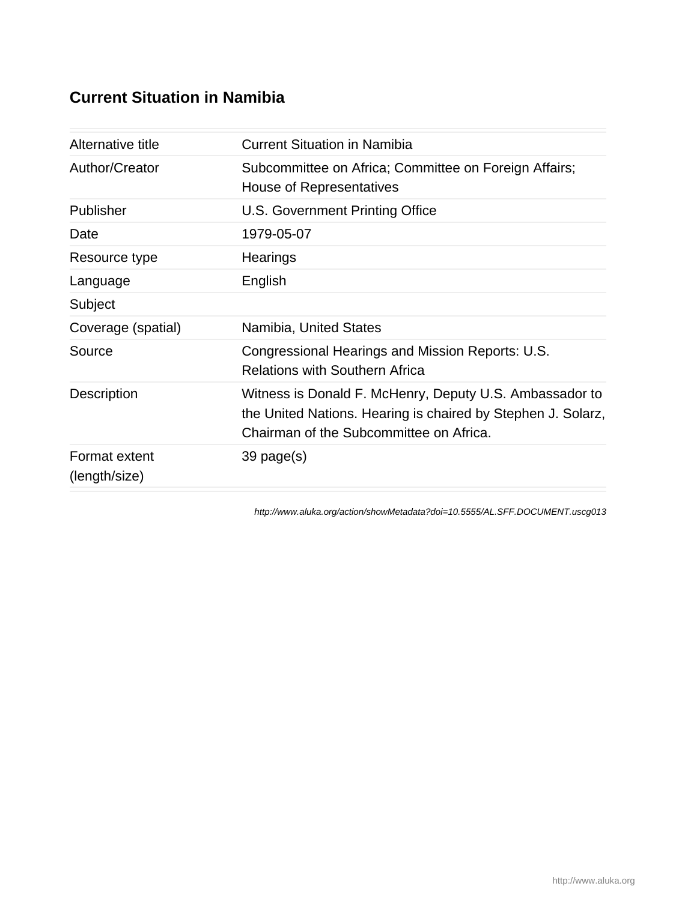## **Current Situation in Namibia**

| Alternative title              | <b>Current Situation in Namibia</b>                                                                                                                                |
|--------------------------------|--------------------------------------------------------------------------------------------------------------------------------------------------------------------|
| Author/Creator                 | Subcommittee on Africa; Committee on Foreign Affairs;<br>House of Representatives                                                                                  |
| Publisher                      | U.S. Government Printing Office                                                                                                                                    |
| Date                           | 1979-05-07                                                                                                                                                         |
| Resource type                  | Hearings                                                                                                                                                           |
| Language                       | English                                                                                                                                                            |
| Subject                        |                                                                                                                                                                    |
| Coverage (spatial)             | Namibia, United States                                                                                                                                             |
| Source                         | Congressional Hearings and Mission Reports: U.S.<br><b>Relations with Southern Africa</b>                                                                          |
| Description                    | Witness is Donald F. McHenry, Deputy U.S. Ambassador to<br>the United Nations. Hearing is chaired by Stephen J. Solarz,<br>Chairman of the Subcommittee on Africa. |
| Format extent<br>(length/size) | $39$ page $(s)$                                                                                                                                                    |

<http://www.aluka.org/action/showMetadata?doi=10.5555/AL.SFF.DOCUMENT.uscg013>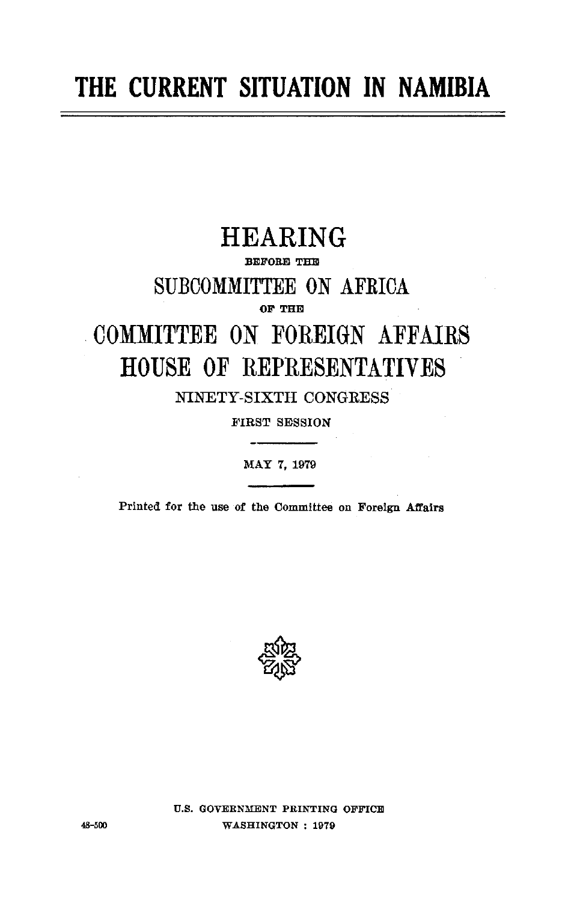# **THE CURRENT SITUATION IN NAMIBIA**

## HEARING

#### BEFORE **THE**

SUBCOMMITTEE **ON** AFRICA

**OF** THE

# **COMMITTEE ON FOREIGN** AFFAIRS **HOUSE** OF REPRESENTATIVES

NINETY-SIXTH **CONGRESS** 

FIRST **SESSION** 

MAY **7, 1979** 

Printed for the use of the Committee on Foreign Affairs



**U.S. GOVERNMENT PRINTING** OFFICE **48-500** WASHINGTON : **1979**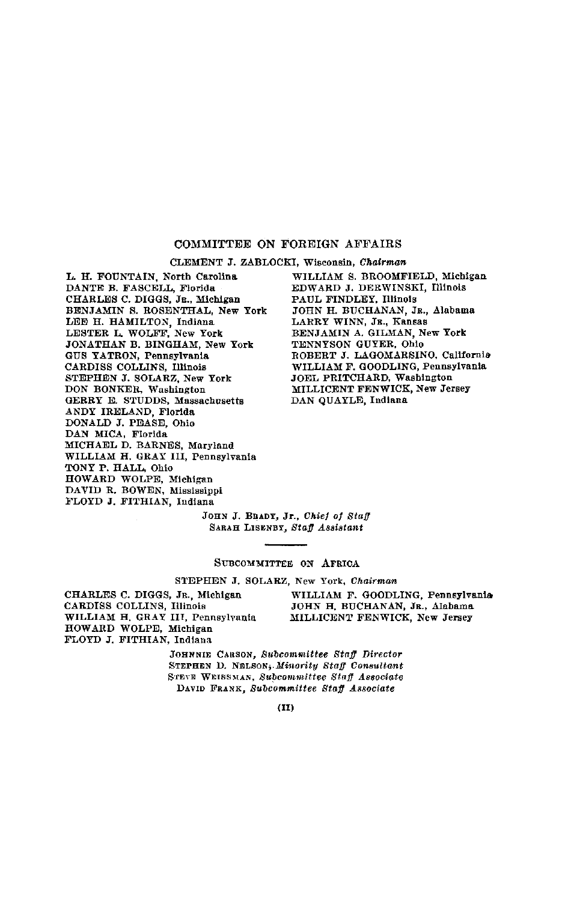#### COMMITTEE ON FOREIGN AFFAIRS

**CLEMENT J.** ZABLOCKI, Wisconsin, *Chairman*

L. H. **FOUNTAIN,** North Carolina **DANTE** B. **FASCELL,** Florida CHARLES **C. DIGGS,** JR., Michigan **BENJAMIN S. ROSENTHAL,** New York **LEE** H. HAMILTON, Indiana LESTER **L.** WOLFF, New York **JONATHAN** B. BINGHAM, New York **GUS** YATRON, Pennsylvania CARDISS COLLINS, Illinois **STEPHEN J.** SOLARZ, New York DON BONKER, Washington GERRY **E. STUDDS,** Massachusetts ANDY IRELAND, Florida **DONALD J. PEASE,** Ohio DAN **MICA,** Florida **MICHAEL D. BARNES,** Maryland WILLIAM H. GRAY III, Pennsylvania TONY P. HALL, Ohio HOWARD WOLPE, Michigan **DAVID** R. BOWEN, Mississippi FLOYD **J. FITHIAN,** Indiana

WILLIAM **S.** BROOMFIELD, Michigan EDWARD **J.** DERWINSKI, Illinois **PAUL FINDLEY,** Illinois **JOHN** H. BUCHANAN, JR., Alabama LARRY WINN, JR., Kansas BENJAMIN A. GILMAN, New York TENNYSON GUYER, Ohio ROBERT **J.** LAGOMARSINO, California WILLIAM F. **GOODLING,** Pennsylvania JOEL PRITCHARD, Washington MILLICENT FENWICK, New Jersey **DAN** QUAYLE, Indiana

**JOHN J.** BRADY, Jr., *Chief of Staff*  SARAH LISENBY, *Staff Assistant* 

#### **SUBCOMMITTEE ON** AFRICA

**STEPHEN J.** SOLARZ, New York, *Chairman* 

CARDISS COLLINS, Illinois **JOHN** H. **BUCHANAN,** JR., Alabama WILLIAM H. GRAY III, Pennsylvania MILLICENT FENWICK, New Jersey HOWARD WOLPE, Michigan FLOYD **J.** FITHIAN, Indiana

CHARLES **C. DIGGS,** JR., Michigan WILLIAM **F.** GOODLING, Pennsylvania

JOHNNIE **CARSON,** *Subcommittee Staff Director*  **STEPHEN D. NELSON,** *Minority Staff Consultant*  **STEVE WEISSMAN,** *Subcommittee Staff Associate*  **DAVID** FRANK, *Subcommittee Staff Associate*

 $(II)$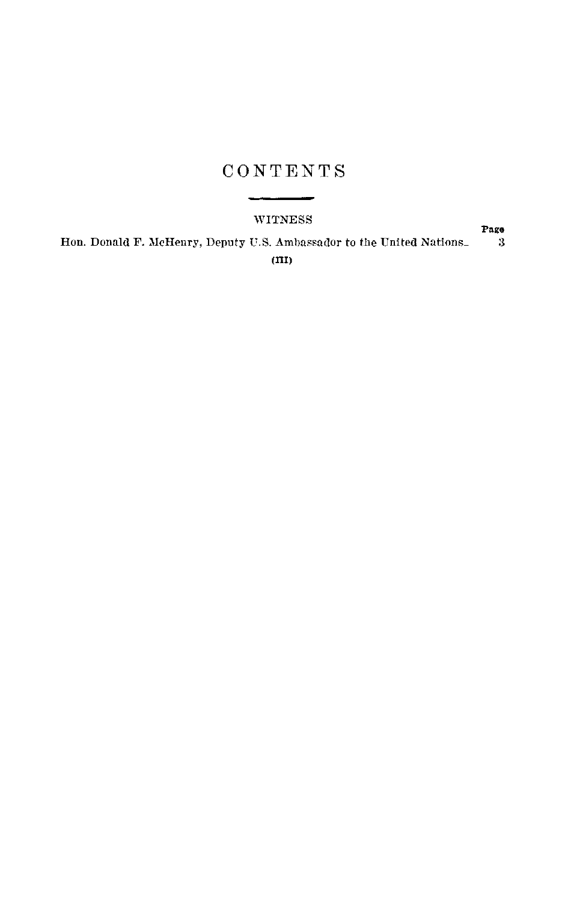## **CONTENTS**

#### WITNESS

**Page**  Hon. Donald F. McHenry, Deputy U.S. Ambassador to the United Nations- 3 **(m)**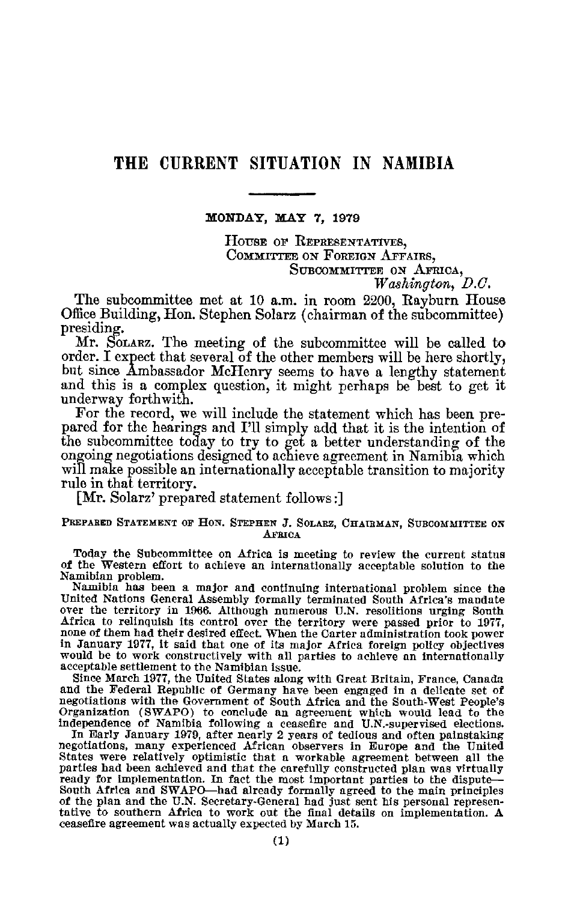## THE CURRENT SITUATION IN **NAMIBIA**

**XONDAY, MAY 7, 1979** 

HOUSE OF REPRESENTATIVES, CommiTTEE ON FOREIGN AFFAIRS, SUBCOMMITTEE ON AFRICA,

*Washington, D.C.* 

The subcommittee met at 10 a.m. in room 2200, Rayburn House Office Building, Hon. Stephen Solarz (chairman of the subcommittee) presiding.

Mr. SOLARZ. The meeting of the subcommittee will be called to order. I expect that several of the other members will be here shortly, but since Ambassador McHenry seems to have a lengthy statement and this is a complex question, it might perhaps be best to get it underway forthwith.

For the record, we will include the statement which has been pre pared for the hearings and I'll simply add that it is the intention of the subcommittee today to try to get a better understanding of the ongoing negotiations designed to achieve agreement in Namibia which will make possible an internationally acceptable transition to majority rule in that territory.

[Mr. Solarz' prepared statement follows:]

#### PREPARED **STATEMENT OF HON. STEPHEN J. SOLARZ, CHAIRMAN, SUBCOMMITTEE ON AFRICA**

Today the Subcommittee on Africa is meeting to review the current status of the Western effort to achieve an internationally acceptable solution to the Namibian problem.

Namibia has been a major and continuing international problem since the United Nations General Assembly formally terminated South Africa's mandate over the territory in 1966. Although numerous U.N. resolitions urging South Africa to relinquish its control over the territory were passed prior to 1977, none of them had their desired effect. When the Carter administration took power in January 1977, it said that one of its major Africa foreign policy objectives would be to work constructively with all parties to achieve an internationally acceptable settlement to the Namibian issue.

Since March 1977, the United States along with Great Britain, France, Canada and the Federal Republic of Germany have been engaged in a delicate set of negotiations with the Government of South Africa and the South-West People's Organization (SWAPO) to conclude an agreement which would lead to the independence of Namibia following a ceasefire and U.N.-supervised elections.

In Early January 1979, after nearly 2 years of tedious and often painstaking negotiations, many experienced African observers in Europe and the United States were relatively optimistic that a workable agreement between all the parties had been achieved and that the carefully constructed plan was virtually ready for implementation. In fact the most important parties to the dispute South Africa and SWAPO-had already formally agreed to the main principles of the plan and the U.N. Secretary-General had just sent his personal represen tative to southern Africa to work out the final details on implementation. A ceasefire agreement was actually expected by March 15.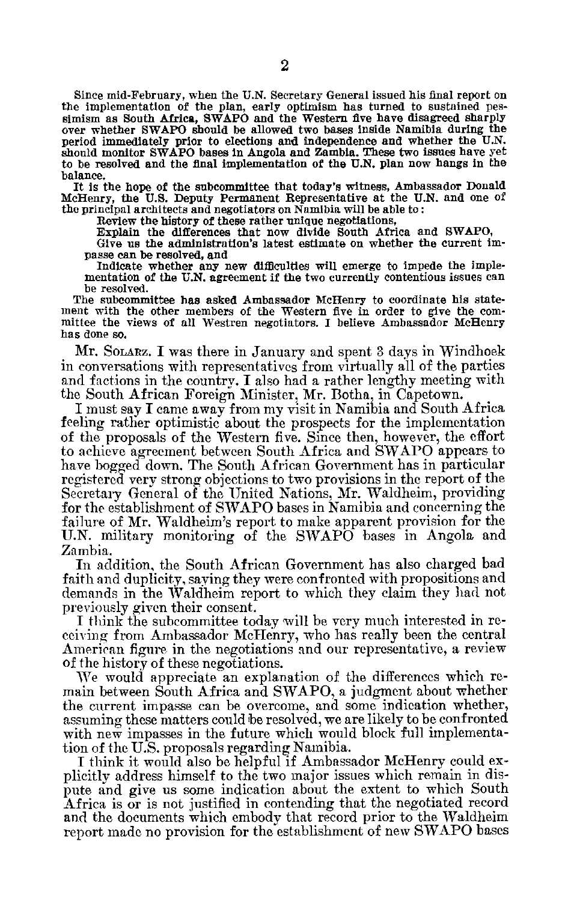Since mid-February, when the **U.N.** Secretary General issued his final report on the implementation of the plan, early optimism has turned to sustained pes simism as South Africa, SWAPO and the Western five have disagreed sharply over whether SWAPO should be allowed two bases inside Namibia during the period immediately prior to elections and independence and whether the U.N. should monitor SWAPO bases in Angola and Zambia. These two issues have yet to be resolved and the final implementation of the U.N. plan now hangs in the balance.

It is the hope of the subcommittee that today's witness, Ambassador Donald McHenry, the U.S. Deputy Permanent Representative at the U.N. and one of the principal architects and negotiators on Namibia will be able to:

Review the history of these rather unique negotiations,

Explain the differences that now divide South Africa and SWAPO,

Give us the administration's latest estimate on whether the current im passe can be resolved, and

Indicate whether any new difficulties will emerge to impede the imple mentation of the **U.N.** agreement if the two currently contentious issues can be resolved.

The subcommittee has asked Ambassador McHenry to coordinate his state ment with the other members of the Western five in order to give the com mittee the views of all Westren negotiators. I believe Ambassador McHenry has done so.

Mr. SOLARZ. **I** was there in January and spent 3 days in Windhoek in conversations with representatives from virtually all of the parties and factions in the countrv. I also had a rather lengthy meeting with the South African Foreign Minister, Mr. Botha, in Capetown.

I must say I came away from my visit in Namibia and South Africa feeling rather optimistic about the prospects for the implementation of the proposals of the Western five. Since then, however, the effort to achieve agreement between South Africa and SWAPO appears to have bogged down. The South African Government has in particular registered very strong objections to two provisions in the report of the Secretary General of the United Nations, Mr. Waldheim, providing for the establishment of SWAPO bases in Namibia and concerning the failure of Mr. Waldheim's report to make apparent provision for the U.N. military monitoring of the SWAPO bases in Angola and Zambia.

In addition, the South African Government has also charged bad faith and duplicity, saying they were confronted with propositions and demands in the Waldheim report to which they claim they had not previously given their consent.

I think the subcommittee today will be very much interested in re ceiving from Ambassador McHenry, who has really been the central American figure in the negotiations and our representative, a review of the history of these negotiations.

We would appreciate an explanation of the differences which re main between South Africa and SWAPO, a judgment about whether the current impasse can be overcome, and some indication whether, assuming these matters could be resolved, we are likely to be confronted with new impasses in the future which would block full implementation of the U.S. proposals regarding Namibia.

I think it would also be helpful if Ambassador McHenry could ex plicitly address himself to the two major issues which remain in dis pute and give us some indication about the extent to which South Africa is or is not justified in contending that the negotiated record and the documents which embody that record prior to the Waldheim report made no provision for the establishment of new SWAPO bases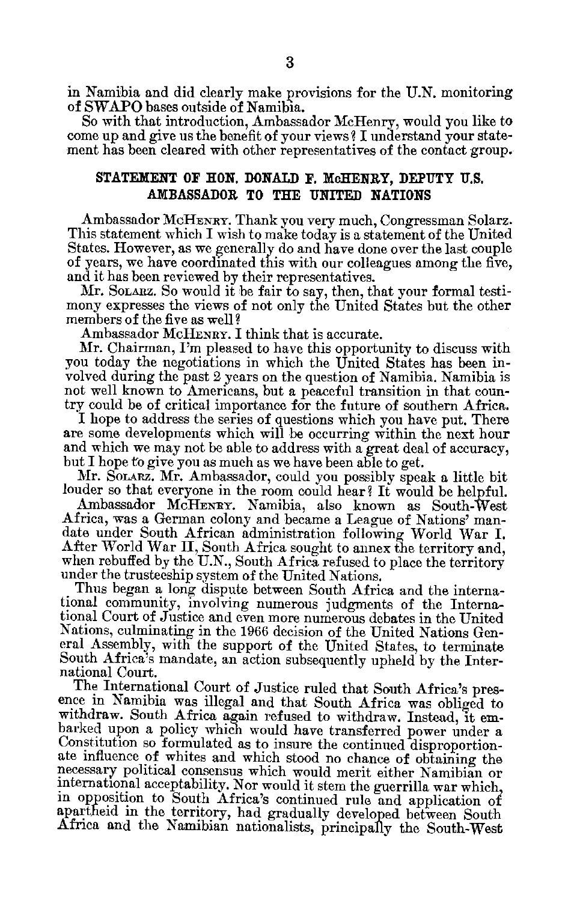in Namibia and did clearly make provisions for the U.N. monitoring of SWAPO bases outside of Namibia.

So with that introduction, Ambassador McHenry, would you like to come up and give us the benefit of your views? I understand your state ment has been cleared with other representatives of the contact group.

#### STATEMENT OF **HON. DONALD F. McHENRY, DEPUTY U.S. AMBASSADOR** TO THE UNITED NATIONS

Ambassador McHENRY. Thank you very much, Congressman Solarz. This statement which I wish to make today is a statement of the United States. However, as we generally do and have done over the last couple of years, we have coordinated this with our colleagues among the five, and it has been reviewed by their representatives.

Mr. SOLARZ. So would it be fair to say, then, that your formal testi mony expresses the views of not only the United States but the other members of the five as well?

Ambassador McHENRY. I think that is accurate.

Mr. Chairman, I'm pleased to have this opportunity to discuss with you today the negotiations in which the United States has been in volved during the past 2 years on the question of Namibia. Namibia is not well known to Americans, but a peaceful transition in that coun try could be of critical importance for the future of southern Africa.

I hope to address the series of questions which you have put. There are some developments which will be occurring within the next hour and which we may not be able to address with a great deal of accuracy, but I hope to give you as much as we have been able to get.

Mr. SoLARz. Mr. Ambassador, could you possibly speak a little bit louder so that everyone in the room could hear? It would be helpful.

Ambassador McHENRY. Namibia, also known as South-West Africa, was a German colony and became a League of Nations' man date under South African administration following World War I. After World War II, South Africa sought to annex the territory and, when rebuffed by the U.N., South Africa refused to place the territory under the trusteeship system of the United Nations.

Thus began a long dispute between South Africa and the interna tional community, involving numerous judgments of the Interna tional Court of Justice and even more numerous debates in the United Nations, culminating in the 1966 decision of the United Nations Gen eral Assembly, with the support of the United States, to terminate South Africa's mandate, an action subsequently upheld by the Inter national Court.

The International Court of Justice ruled that South Africa's pres ence in Namibia was illegal and that South Africa was obliged to withdraw. South Africa again refused to withdraw. Instead, it em barked upon a policy which would have transferred power under a Constitution so formulated as to insure the continued disproportion ate influence of whites and which stood no chance of obtaining the necessary political consensus which would merit either Namibian or international acceptability. Nor would it stem the guerrilla war which, in opposition to South Africa's continued rule and application of apartheid in the territory, had gradually developed between South Africa and the Namibian nationalists, principally the South-West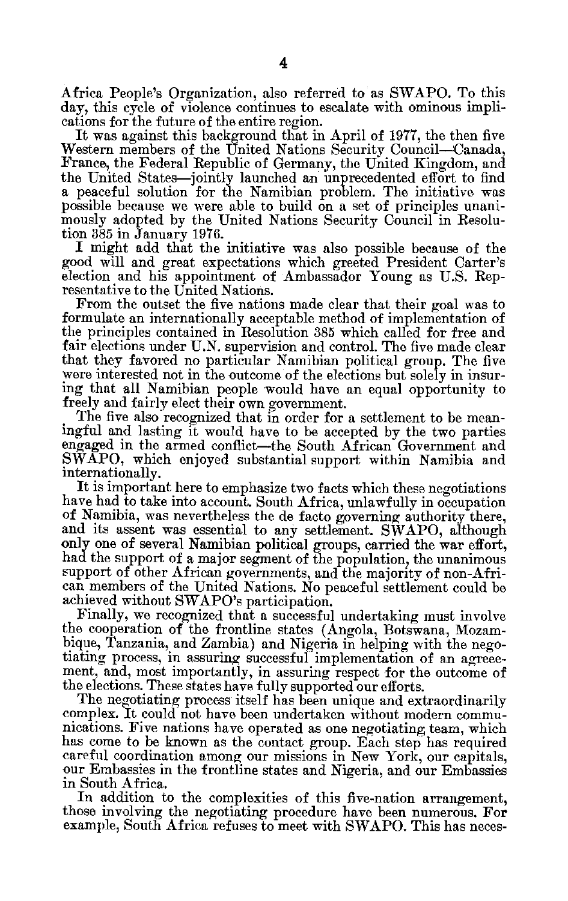Africa People's Organization, also referred to as SWAPO. To this day, this cycle of violence continues to escalate with ominous impli cations for the future of the entire region.

It was against this background that in April of 1977, the then five Western members of the United Nations Security Council-Canada, France, the Federal Republic of Germany, the United Kingdom, and the United States-jointly launched an unprecedented effort to find a peaceful solution for the Namibian problem. The initiative was possible because we were able to build on a set of principles unanimously adopted by the United Nations Security Council in Resolu tion 385 in January 1976.

I might add that the initiative was also possible because of the good will and great expectations which greeted President Carter's election and his appointment of Ambassador Young as U.S. Rep resentative to the United Nations.

From the outset the five nations made clear that their goal was to formulate an internationally acceptable method of implementation of the principles contained in Resolution 385 which called for free and fair elections under U.N. supervision and control. The five made clear that they favored no particular Namibian political group. The five were interested not in the outcome of the elections but solely in insur ing that all Namibian people would have an equal opportunity to freely and fairly elect their own government.

The five also recognized that in order for a settlement to be mean ingful and lasting it would have to be accepted by the two parties engaged in the armed conflict-the South African Government and SWAPO, which enjoyed substantial support within Namibia and internationally.

It is important here to emphasize two facts which these negotiations have had to take into account. South Africa, unlawfully in occupation of Namibia, was nevertheless the de facto governing authority there, and its assent was essential to any settlement. SWAPO, although only one of several Namibian political groups, carried the war effort, had the support of a major segment of the population, the unanimous support of other African governments, and the majority of non-Afri can members of the United Nations. No peaceful settlement could be achieved without SWAPO's participation.

Finally, we recognized that a successful undertaking must involve the cooperation of the frontline states (Angola, Botswana, Mozam bique, Tanzania, and Zambia) and Nigeria in helping with the nego tiating process, in assuring successful implementation of an agreee ment, and, most importantly, in assuring respect for the outcome of the elections. These states have fully supported our efforts.

The negotiating process itself has been unique and extraordinarily complex. It could not have been undertaken without modern commu nications. Five nations have operated as one negotiating team, which has come to be known as the contact group. Each step has required careful coordination among our missions in New York, our capitals, our Embassies in the frontline states and Nigeria, and our Embassies in South Africa.

In addition to the complexities of this five-nation arrangement, those involving the negotiating procedure have been numerous. For example, South Africa refuses to meet with SWAPO. This has neces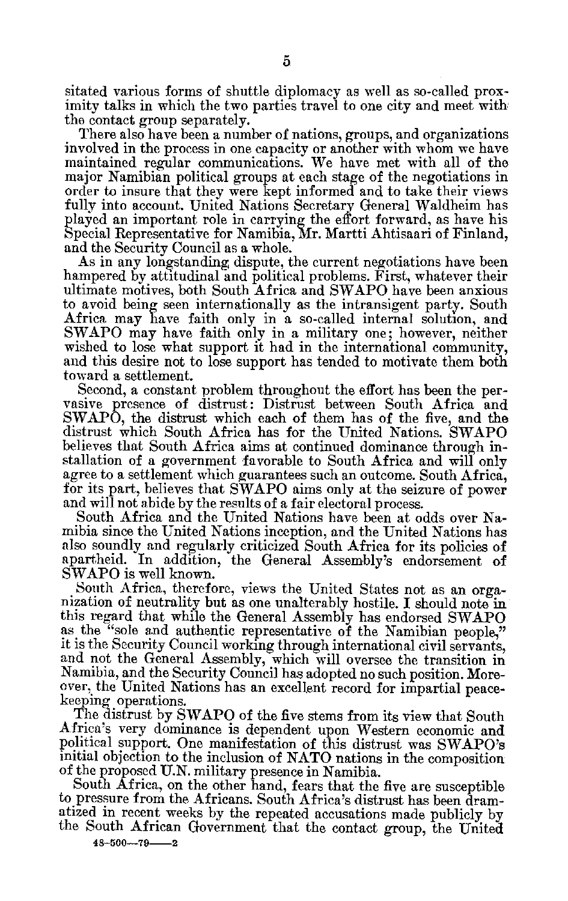sitated various forms of shuttle diplomacy as well as so-called prox imity talks in which the two parties travel to one city and meet with the contact group separately.

There also have been a number of nations, groups, and organizations involved in the process in one capacity or another with whom we have maintained regular communications. We have met with all of the major Namibian political groups at each stage of the negotiations in order to insure that they were kept informed and to take their views fully into account. United Nations Secretary General Waldheim has played an important role in carrying the effort forward, as have his Special Representative for Namibia, Mr. Martti Ahtisaari of Finland, and the Security Council as a whole.

As in any longstanding dispute, the current negotiations have been hampered by attitudinal and political problems. First, whatever their ultimate motives, both South Africa and SWAPO have been anxious to avoid being seen internationally as the intransigent party. South Africa may have faith only in a so-called internal solution, and SWAPO may have faith only in a military one; however, neither wished to lose what support it had in the international community, and this desire not to lose support has tended to motivate them both toward a settlement.

Second, a constant problem throughout the effort has been the per vasive presence of distrust: Distrust between South Africa and SWAPO, the distrust which each of them has of the five, and the distrust which South Africa has for the United Nations. SWAPO believes that South Africa aims at continued dominance through in stallation of a government favorable to South Africa and will only agree to a settlement which guarantees such an outcome. South Africa, for its part, believes that SWAPO aims only at the seizure of power and will not abide by the results of a fair electoral process.

South Africa and the United Nations have been at odds over Na mibia since the United Nations inception, and the United Nations has also soundly and regularly criticized South Africa for its policies of apartheid. In addition, the General Assembly's endorsement of SWAPO is well known.

South Africa, therefore, views the United States not as an orga nization of neutrality but as one unalterably hostile. I should note in this regard that while the General Assembly has endorsed SWAPO as the "sole and authentic representative of the Namibian people," it is the Security Council working through international civil servants, and not the General Assembly, which will oversee the transition in Namibia, and the Security Council has adopted no such position. More over, the United Nations has an excellent record for impartial peace keeping operations.

The distrust by SWAPO of the five stems from its view that South Africa's very dominance is dependent upon Western economic and political support. One manifestation of this distrust was SWAPO's initial objection to the inclusion of NATO nations in the composition of the proposed U.N. military presence in Namibia.

South Africa, on the other hand, fears that the five are susceptible to pressure from the Africans. South Africa's distrust has been dram atized in recent weeks by the repeated accusations made publicly by the South African Government that the contact group, the United

**48-500--79--2**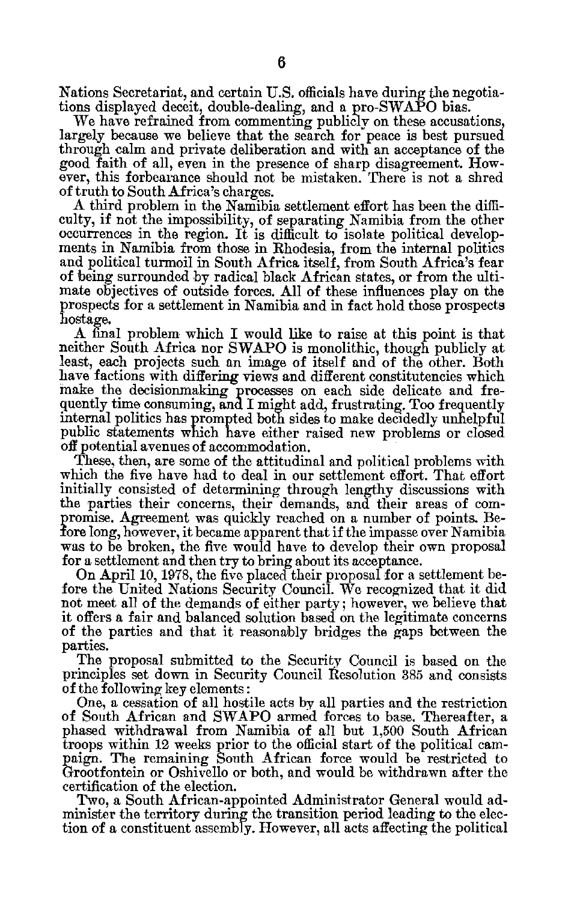Nations Secretariat, and certain U.S. officials have during the negotia tions displayed deceit, double-dealing, and a pro-SWAPO bias.

We have refrained from commenting publicly on these accusations, largely because we believe that the search for peace is best pursued through calm and private deliberation and with an acceptance of the good faith of all, even in the presence of sharp disagreement. How ever, this forbearance should not be mistaken. There is not a shred of truth to South Africa's charges.

A third problem in the Namibia settlement effort has been the diffi culty, if not the impossibility, of separating Namibia from the other occurrences in the region. It is difficult to isolate political develop ments in Namibia from those in Rhodesia, from the internal politics and political turmoil in South Africa itself, from South Africa's fear of being surrounded by radical black African states, or from the ulti mate objectives of outside forces. All of these influences play on the prospects for a settlement in Namibia and in fact hold those prospects hostage. **A** final problem which I would like to raise at this point is that

neither South Africa nor **SWAPO** is monolithic, though publicly at least, each projects such an image of itself and of the other. Both have factions with differing views and different constitutencies which make the decisionmaking processes on each side delicate and frequently time consuming, and I might add, frustrating. Too frequently internal politics has prompted both sides to make decidedly unhelpful public statements which have either raised new problems or closed off potential avenues of accommodation.

These, then, are some of the attitudinal and political problems with which the five have had to deal in our settlement effort. That effort initially consisted of determining through lengthy discussions with the parties their concerns, their demands, and their areas of com promise. Agreement was quickly reached on a number of points. Be fore long, however, it became apparent that if the impasse over Namibia was to be broken, the five would have to develop their own proposal for a settlement and then try to bring about its acceptance.

On April **10,** 1978, the five placed their proposal for a settlement be fore the United Nations Security Council. We recognized that it did not meet all of the demands of either party; however, we believe that it offers a fair and balanced solution based on the legitimate concerns of the parties and that it reasonably bridges the gaps between the parties.

The proposal submitted to the Security Council is based on the principles set down in Security Council Resolution 385 and consists of the following key elements:

One, a cessation of all hostile acts by all parties and the restriction of South African and SWAPO armed forces to base. Thereafter, a phased withdrawal from Namibia of all but 1,500 South African troops within 12 weeks prior to the official start of the political cam paign. The remaining South African force would be restricted to Grootfontein or Oshivello or both, and would be withdrawn after the certification of the election.

Two, a South African-appointed Administrator General would ad minister the territory during the transition period leading to the elec tion of a constituent assembly. However, all acts affecting the political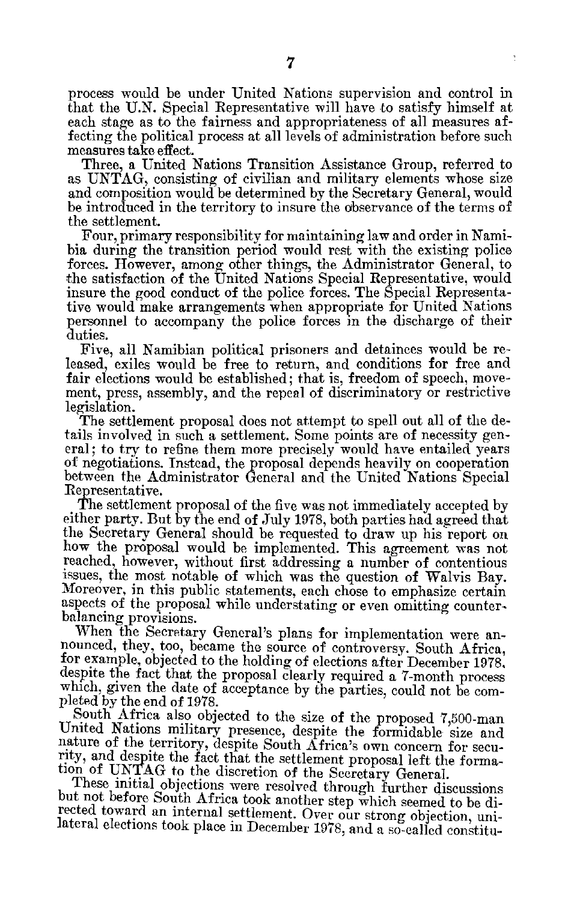process would be under United Nations supervision and control in that the U.N. Special Representative will have to satisfy himself at each stage as to the fairness and appropriateness of all measures af fecting the political process at all levels of administration before such measures take effect.

Three, a United Nations Transition Assistance Group, referred to as UNTAG, consisting of civilian and military elements whose size and composition would be determined by the Secretary General, would be introduced in the territory to insure the observance of the terms of the settlement.

Four, primary responsibility for maintaining law and order in Nami bia during the transition period would rest with the existing police forces. However, among other things, the Administrator General, to the satisfaction of the United Nations Special Representative, would insure the good conduct of the police forces. The Special Representa tive would make arrangements when appropriate for United Nations personnel to accompany the police forces in the discharge of their duties.

Five, all Namibian political prisoners and detainees would be re leased, exiles would be free to return, and conditions for free and fair elections would be established; that is, freedom of speech, move ment, press, assembly, and the repeal of discriminatory or restrictive legislation.

The settlement proposal does not attempt to spell out all of the de tails involved in such a settlement. Some points are of necessity gen eral; to try to refine them more precisely would have entailed years of negotiations. Instead, the proposal depends heavily on cooperation between the Administrator General and the United Nations Special Representative.

The settlement proposal of the five was not immediately accepted by either party. But by the end of July 1978, both parties had agreed that the Secretary General should be requested to draw up his'report on how the proposal would be implemented. This agreement was not reached, however, without first addressing a number of contentious issues, the most notable of which was the question of Walvis Bay. Moreover, in this public statements, each chose to emphasize certain aspects of the proposal while understating or even omitting counter balancing provisions.

When the Secretary General's plans for implementation were announced, they, too, became the source of controversy. South Africa, for example, objected to the holding of elections after December 1978, despite the fact that the proposal clearly required a 7-month process which, given the date of acceptance by the parties, could not be completed by the end of 1978.

South Africa also objected to the size of the proposed 7,500-man United Nations military presence, despite the formidable size and nature of the territory, despite South Africa's own concern for security, and despite the fact that the settlement proposal left the forma tion of UNTAG to the discretion of the Secretary General.

These initial objections were resolved through further discussions but not before South Africa took another step which seemed to be di rected toward an internal settlement. Over our strong objection, uni lateral elections took place in December 1978, and a so-called constitu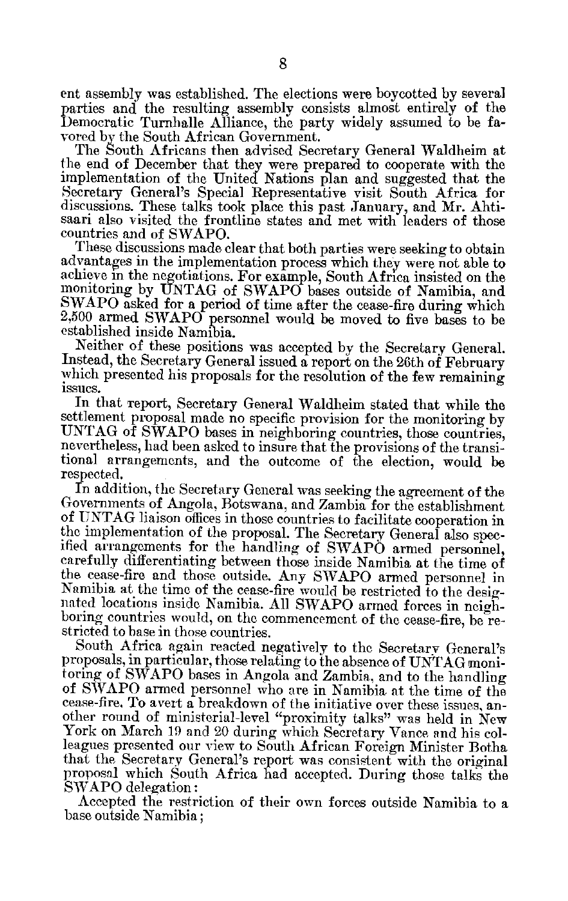ent assembly was established. The elections were boycotted by several parties and the resulting assembly consists almost entirely of the Democratic Turnhalle Alliance, the party widely assumed to be fa vored by the South African Government.

The South Africans then advised Secretary General Waldheim at the end of December that they were prepared to cooperate with the implementation of the United Nations plan and suggested that the Secretary General's Special Representative visit South Africa for discussions. These talks took place this past January, and Mr. Ahtisaari also visited the frontline states and met with leaders of those countries and of SVAPO.

These discussions made clear that both parties were seeking to obtain advantages in the implementation process which they were not able to achieve in the negotiations. For example, South Africa insisted on the monitoring by UNTAG of SWAPO bases outside of Namibia, and SWAPO asked for a period of time after the cease-fire during which 2,500 armed SWAPO personnel would be moved to five bases to be established inside Namibia.

Neither of these positions was accepted by the Secretary General. Instead, the Secretary General issued a report on the 26th of February which presented his proposals for the resolution of the few remaining issues.

In that Teport, Secretary General Waldheim stated that while the settlement proposal made no specific provision for the monitoring by UNTAG of SWAPO bases in neighboring countries, those countries, nevertheless, had been asked to insure that the provisions of the transi tional arrangements, and the outcome of the election, would be respected.

In addition, the Secretary General was seeking the agreement of the Governments of Angola, Botswana, and Zambia for the establishment of UNTAG liaison offices in those countries to facilitate cooperation in the implementation of the proposal. The Secretary General also spec ified arrangements for the handling of SWAPO armed personnel, carefully differentiating between those inside Namibia at the time of the cease-fire and those outside. Any SVAPO armed personnel in Namibia at the time of the cease-fire would be restricted to the designated locations inside Namibia. All SIVAPO armed forces in neigh boring countries would, on the commencement of the cease-fire, be restricted to base in those countries.

South Africa again reacted negatively to the Secretary General's proposals, in particular, those relating to the absence of UNTAG moni toring of SWAPO bases in Angola and Zambia, and to the handling of SWAPO armed personnel who are in Namibia at the time of the cease-fire. To avert a breakdown of the initiative over these issues, an other round of ministerial-level "proximity talks" was held in New York on March 19 and 20 during which Secretary Vance and his colleagues presented our view to South African Foreign Minister Botha<br>that the Secretary General's report was consistent with the original proposal which South Africa had accepted. During those talks the SWAPO delegation:

Accepted the restriction of their own forces outside Namibia to a base outside Namibia;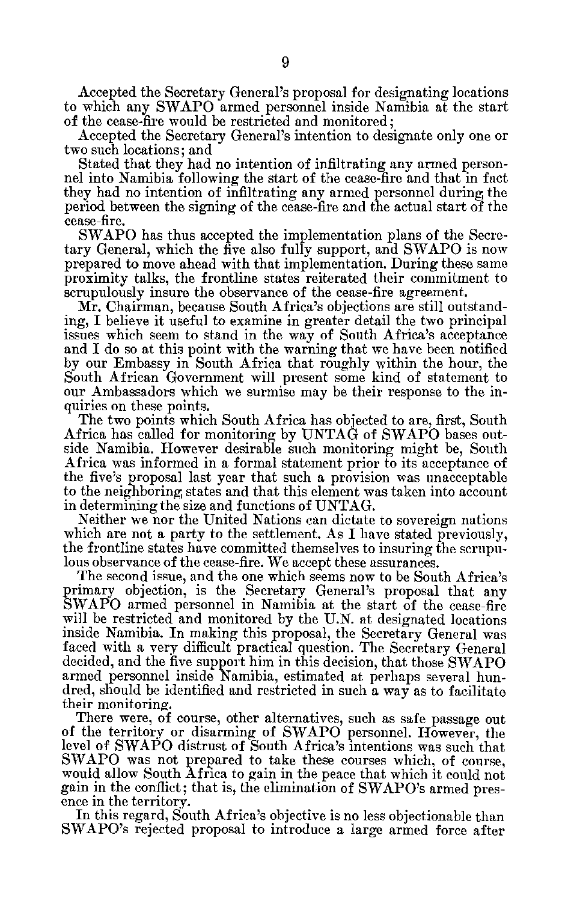Accepted the Secretary General's proposal for designating locations to which any SWAPO armed personnel inside Namibia at the start of the cease-fire would be restricted and monitored;

Accepted the Secretary General's intention to designate only one or two such locations; and

Stated that they had no intention of infiltrating any armed person nel into Namibia following the start of the cease-fire and that in fact they had no intention of infiltrating any armed personnel during the period between the signing of the cease-fire and the actual start of the cease-fire.

SWAPO has thus accepted the implementation plans of the Secre tary General, which the five also fully support, and SWAPO is now prepared to move ahead with that implementation. During these same proximity talks, the frontline states reiterated their commitment to scrupulously insure the observance of the cease-fire agreement.

Mr. Chairman, because South Africa's objections are still outstand ing, I believe it useful to examine in greater detail the two principal issues which seem to stand in the way of South Africa's acceptance and I do so at this point with the warning that we have been notified by our Embassy in South Africa that roughly within the hour, the South African Government will present some kind of statement to our Ambassadors which we surmise may be their response to the in quiries on these points.

The two points which South Africa has objected to are, first, South Africa has called for monitoring by UNTAG of SWAPO bases out side Namibia. However desirable such monitoring might be, South Africa was informed in a formal statement prior to its acceptance of the five's proposal last year that such a provision was unacceptable to the neighboring states and that this element was taken into account in determining the size and functions of UNTAG.

Neither we nor the United Nations can dictate to sovereign nations which are not a party to the settlement. As I have stated previously, the frontline states have committed themselves to insuring the scrupu lous observance of the cease-fire. We accept these assurances.

The second issue, and the one which seems now to be South Africa's primary objection, is the Secretary General's proposal that any SWAPO armed personnel in Namibia at the start of the cease-fire will be restricted and monitored by the U.N. at designated locations inside Namibia. In making this proposal, the Secretary General was faced with a very difficult practical question. The Secretary General decided, and the five support him in this decision, that those SWAPO armed personnel inside Namibia, estimated at perhaps several hun dred, should be identified and restricted in such a way as to facilitate their monitoring.

There were, of course, other alternatives, such as safe passage out of the territory or disarming of SWAPO personnel. However, the level of SWAPO distrust of South Africa's intentions was such that SWAPO was not prepared to take these courses which, of course, would allow South Africa to gain in the peace that which it could not gain in the conflict; that is, the elimination of SWAPO's armed pres ence in the territory.

In this regard, South Africa's objective is no less objectionable than SWAPO's rejected proposal to introduce a large armed force after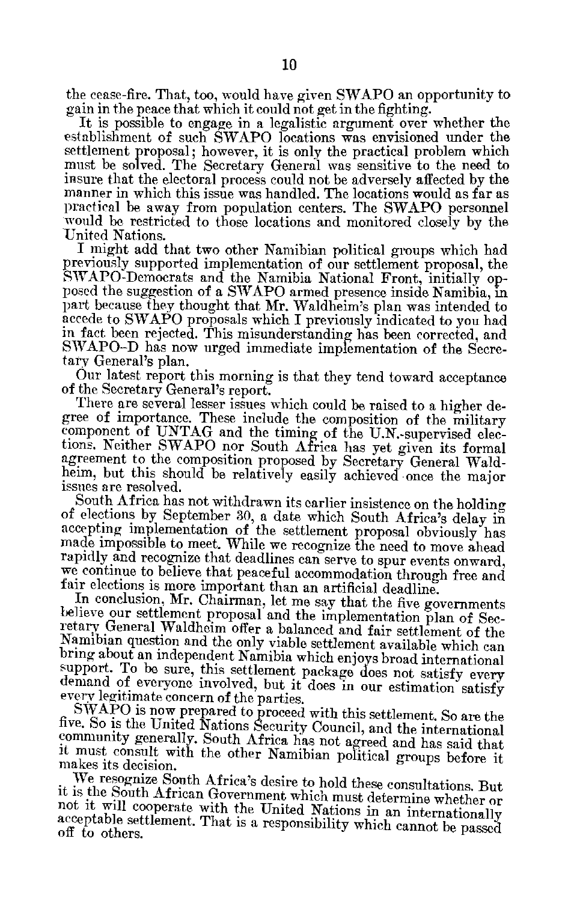the cease-fire. That, too, would have given SWAPO an opportunity to gain in the peace that which it could not get in the fighting.

It is possible to engage in a legalistic argument over whether the establishment of such SWAPO locations was envisioned under the settlement proposal; however, it is only the practical problem which must be solved. The Secretary General was sensitive to the need to insure that the electoral process could not be adversely affected by the manner in which this issue was handled. The locations would as far as practical be away from population centers. The SWAPO personnel would be restricted to those locations and monitored closely by the United Nations.<br>I might add that two other Namibian political groups which had

previously supported implementation of our settlement proposal, the SWAPO-Democrats and the Namibia National Front, initially opposed the suggestion of a SWAPO armed presence inside Namibia, in part because they thought th accede to SWAPO proposals which I previously indicated to you had<br>in fact been rejected. This misunderstanding has been corrected, and<br>SWAPO-D has now urged immediate implementation of the Secretary General's plan.

Our latest report this morning is that they tend toward acceptance of the Secretary General's report.

There are several lesser issues which could be raised to a higher degree of importance. These include the composition of the military component of UNTAG and the timing of the U.N.-supervised elections. Neither SWAPO nor South Africa has yet given its formal agreement to the composition proposed by Secretary General Waldheim, but this should be relatively

issues are resolved.<br>South Africa has not withdrawn its carlier insistence on the holding of elections by September 30, a date which South Africa's delay in accepting implementation of the settlement proposal obviously has made impossible to meet. While we recognize the need to move ahead rapidly and recognize we continue to believe that peaceful accommodation through free and fair elections is more important than an artificial deadline. In conclusion, Mr. Chairman, let me say that the five governments

believe our settlement proposal and the implementation plan of Secretary General Waldheim offer a balanced and fair settlement of the Namibian question and the only viable settlement available which can bring about an inde support. To be sure, this settlement package does not satisfy every demand of everyone involved, but it does in our estimation satisfy

every legitimate concern of the parties.<br>SWAPO is now prepared to proceed with this settlement. So are the five. So is the United Nations Security Council, and the international community generally. South Africa has not agreed and has said that it must consult with the other Namibian political groups before it

makes its decision.<br>We resognize South Africa's desire to hold these consultations. But it is the South African Government which must determine whether or<br>not it will cooperate with the United Nations in an internationally<br>acceptable settlement. That is a responsibility which cannot be passed off to others.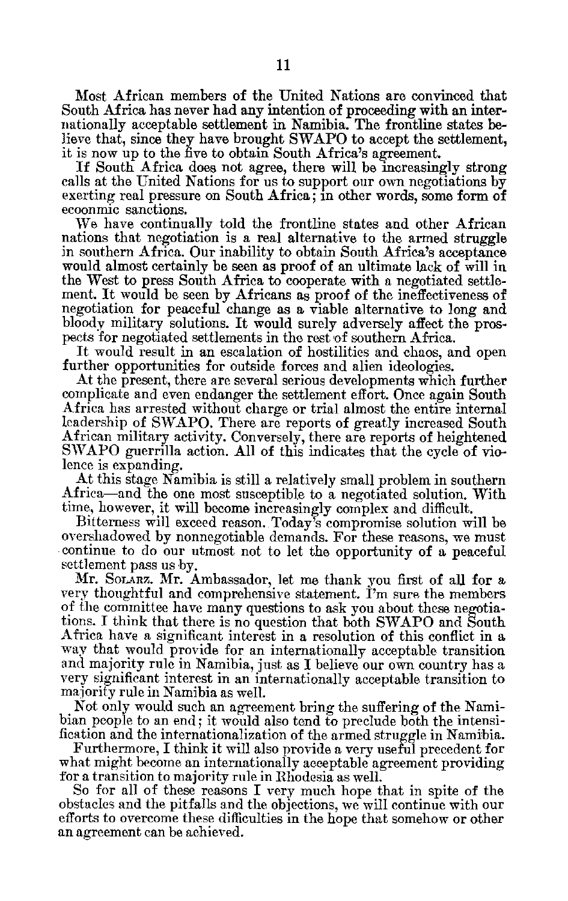Most African members of the United Nations are convinced that South Africa has never had any intention of proceeding with an inter nationally acceptable settlement in Namibia. The frontline states be lieve that, since they have brought SWAPO to accept the settlement, it is now up to the five to obtain South Africa's agreement.

If South Africa does not agree, there will be increasingly strong calls at the United Nations for us to support our own negotiations by exerting real pressure on South Africa; in other words, some form of ecoonmic sanctions.

We have continually told the frontline states and other African nations that negotiation is a real alternative to the armed struggle in southern Africa. Our inability to obtain South Africa's acceptance would almost certainly be seen as proof of an ultimate lack of will in the West to press South Africa to cooperate with a negotiated settle ment. It would be seen by Africans as proof of the ineffectiveness of negotiation for peaceful change as a viable alternative to long and bloody military solutions. It would surely adversely affect the prospects for negotiated settlements in the rest of southern Africa.

It would result in an escalation of hostilities and chaos, and open further opportunities for outside forces and alien ideologies.

At the present, there are several serious developments which further complicate and even endanger the settlement effort. Once again South Africa has arrested without charge or trial almost the entire internal leadership of SWAPO. There are reports of greatly increased South African military activity. Conversely, there are reports of heightened SWAPO guerrilla action. All of this indicates that the cycle of vio lence is expanding.

At this stage Namibia is still a relatively small problem in southern Africa-and the one most susceptible to a negotiated solution. With time, however, it will become increasingly complex and difficult.

Bitterness will exceed reason. Today's compromise solution will be overshadowed by nonnegotiable demands. For these reasons, we must continue to do our utmost not to let the opportunity of a peaceful settlement pass us by.

Mr. **SoLARz.** Mr. Ambassador, let me thank you first of all for a very thoughtful and comprehensive statement. I'm sure the members of the committee have many questions to ask you about these negotia tions. I think that there is no question that both SWAPO and South Africa have a significant interest in a resolution of this conflict in a way that would provide for an internationally acceptable transition and majority rule in Namibia, just as I believe our own country has a very significant interest in an internationally acceptable transition to majority rule in Namibia as well.

Not only would such an agreement bring the suffering of the Nami bian people to an end; it would also tend to preclude both the intensi fication and the internationalization of the armed struggle in Namibia.

Furthermore, I think it will also provide a very useful precedent for what might become an internationally acceptable agreement providing for a transition to majority rule in Rhodesia as well.

So for all of these reasons I very much hope that in spite of the obstacles and the pitfalls and the objections, we will continue with our efforts to overcome these difficulties in the hope that somehow or other an agreement can be achieved.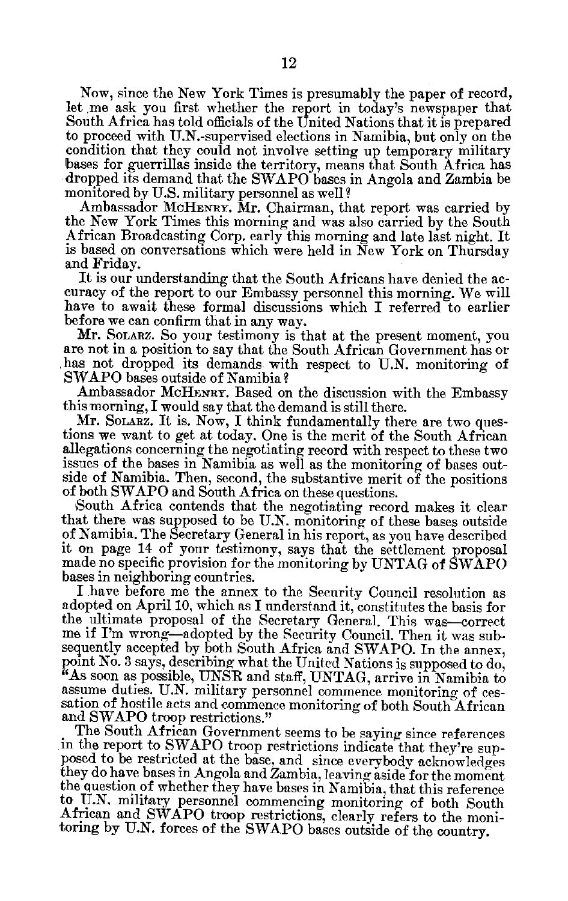Now, since the New York Times is presumably the paper of record, let me ask you first whether the report in today's newspaper that South Africa has told officials of the United Nations that it is prepared to proceed with U.N.-supervised elections in Namibia, but only on the condition that they could not involve setting up temporary military bases for guerrillas inside the territory, means that South Africa has dropped its demand that the SWAPO bases in Angola and Zambia be monitored by U.S. military personnel as well?

Ambassador McHENRY. Mr. Chairman, that report was carried by the New York Times this morning and was also carried by the South African Broadcasting Corp. early this morning and late last night. It is based on conversations which were held in New York on Thursday and Friday.

It is our understanding that the South Africans have denied the ac curacy of the report to our Embassy personnel this morning. We will have to await these formal discussions which I referred to earlier before we can confirm that in any way.

Mr. SOLARZ. So your testimony is that at the present moment, you are not in a position to say that the South African Government has or has not dropped its demands with respect to U.N. monitoring of SWAPO bases outside of Namibia?

Ambassador McHENRY. Based on the discussion with the Embassy this morning, I would say that the demand is still there.

Mr. SOLARZ. It is. Now, I think fundamentally there are two ques tions we want to get at today. One is the merit of the South African allegations concerning the negotiating record with respect to these two issues of the bases in Namibia as well as the monitoring of bases outside of Namibia. Then, second, the substantive merit of the positions of both SWAPO and South Africa on these questions.

South Africa contends that the negotiating record makes it clear that there was supposed to be U.N. monitoring of these bases outside of Namibia. The Secretary General in his report, as you have described it on page 14 of your testimony, says that the settlement proposal made no specific provision for the monitoring by UNTAG of SWAPO bases in neighboring countries.

I have before me the annex to the Security Council resolution as adopted on April 10, which as I understand it, constitutes the basis for the ultimate proposal of the Secretary General. This was-correct me if I'm wrong-adopted by the Security Council. Then it was sub sequently accepted by both South Africa and SWAPO. In the annex, point No. 3 says, describing what the United Nations is supposed to do, <sup>"</sup>As soon as possible, UNSR and staff, UNTAG, arrive in Namibia to assume duties. U.N. military personnel commence monitoring of ces sation of hostile acts and commence monitoring of both South African and SWAPO troop restrictions."

The South African Government seems to be saying since references in the report to SWAPO troop restrictions indicate that they're sup posed to be restricted at the base, and since everybody acknowledges they do have bases in Angola and Zambia, leaving aside for the moment the question of whether they have bases in Namibia, that this reference to U.N. military personnel commencing monitoring of both South African and SWAPO troop restrictions, clearly refers to the moni toring by U.N. forces of the SWAPO bases outside of the country.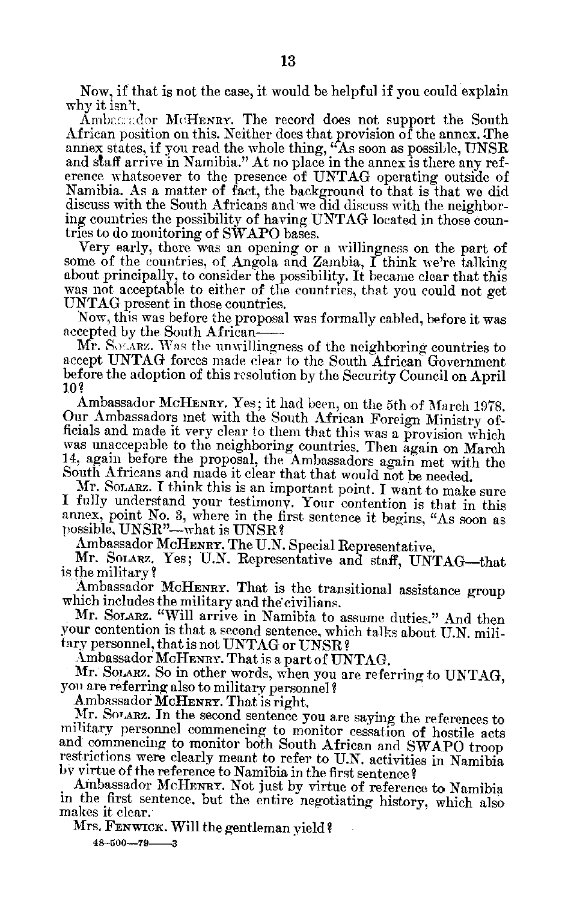Now, if that is not the case, it would be helpful if you could explain why it isn't.

Ambagador McHENRY. The record does not support the South African position on this. Neither does that provision of the annex. The annex states, if you read the whole thing, "As soon as possible, UNSR and staff arrive in Namibia." At no place in the annex is there any reference whatsoever to the presence of UNTAG operating outside of Namibia. As a matter of fact, the background to that is that we did discuss with the South Africans and we did discuss with the neighbor ing countries the possibility of having UNTAG located in those coun tries to do monitoring of SWAPO bases.

Very early, there was an opening or a willingness on the part of some of the countries, of Angola and Zambia, I think we're talking about principally, to consider the possibility. It became clear that this was not acceptable to either of the countries, that you could not get UNTAG present in those countries.

Now, this was before the proposal was formally cabled, before it was accepted by the South African

Mr. SOLARZ. Was the unwillingness of the neighboring countries to accept UNTAG forces made clear to the South African Government before the adoption of this resolution by the Security Council on April **10?** 

Ambassador MCHENRY. Yes; it had been, on the 5th of March 1978. Our Ambassadors met with the South African Foreign Ministry of ficials and made it very clear to them that this was a provision which was unaccepable to the neighboring countries. Then again on March 14, again before the proposal, the Ambassadors again met with the South Africans and made it clear that that would not be needed.

Mr. SOLARZ. I think this is an important point. I want to make sure I fully understand your testimony. Your contention is that in this annex, point No. 3, where in the first sentence it begins,  $4\alpha$  soon as  $\operatorname{possible}, \operatorname{UNSR}-$ what is  $\operatorname{UNSR}$  ?

Ambassador MCHENRY. The U.N. Special Representative.

Mr. Solarz. Yes; U.N. Representative and staff, UNTAG-that is the military?

Ambassador McHENRY. That is the transitional assistance group which includes the military and the civilians.

Mr. **SOLARZ.** "Will arrive in Namibia to assume duties." And then vour contention is that a second sentence, which talks about U.N. mili tary personnel, that is not UNTAG or **UNSR?** 

Ambassador McHENRY. That is a part of UNTAG.

Mr. SoLARZ. So in other words, when you are referring to UNTAG, you are referring also to military personnel?<br>Ambassador McHENRY. That is right.

Mr. SOTARZ. In the second sentence you are saying the references to military personnel commencing to monitor cessation of hostile acts and commencing to monitor both South African and SWAPO troop restrictions were clearly meant to refer to U.N. activities in Namibia **by** virtue of the reference to Namibia in the first sentence?

Ambassador McHENRY. Not just by virtue of reference to Namibia in the first sentence, but the entire negotiating history, which also makes it clear.

Mrs. FENwICK. Will the gentleman yield?

**48-500-79-3**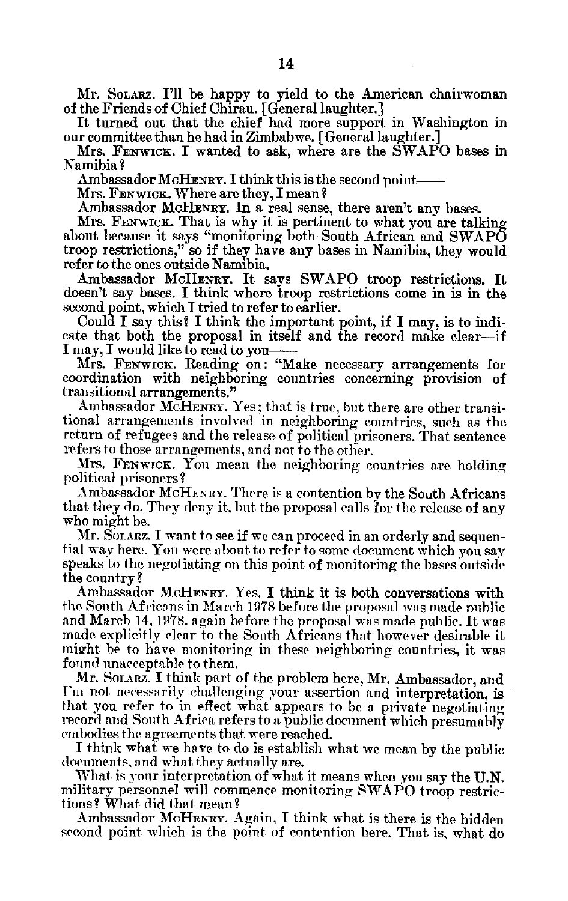Mr. **SOLARZ. I'll** be happy to yield to the American chairwoman of the Friends of Chief Chirau. [General laughter.]

It turned out that the chief had more support in Washington in our committee than he had in Zimbabwe. [General laughter.]

Mrs. **FENWICK.** I wanted to ask, where are the SWAPO bases in Namibia?

Ambassador McHENRY. I think this is the second point-

Mrs. **FENWICK.** Where are they, I mean?

Ambassador McHEwRY. In a real sense, there aren't any bases.

Mrs. **FENWIcK.** That is why it is pertinent to what you are talking about because it says "monitoring both South African and SWAPO troop restrictions," so if they have any bases in Namibia, they would refer to the ones outside Namibia.

Ambassador McHENRY. It says SWAPO troop restrictions. It doesn't say bases. **I** think where troop restrictions come in is in the second point, which **I** tried to refer to earlier.

Could I say this? I think the important point, if I may, is to indi cate that both the proposal in itself and the record make clear-if I may, I would like to read to you

Mrs. FENWICK. Reading on: "Make necessary arrangements for coordination with neighboring countries concerning provision of transitional arrangements."

Ambassador McHENRY. Yes, that is true, but there are other transitional arrangements involved in neighboring countries, such as the return of refugees and the release of political prisoners. That sentence refers to those arrangements, and not to the other.

Mrs. FENwICK. Yon mean the neighboring countries are holding political prisoners?

Ambassador MCHENRY. There is a contention by the South Africans that they do. They deny it, but the proposal calls for the release of any who might be.

Mr. SOLARZ. I want to see if we can proceed in an orderly and sequen tial way here. You were about to refer to some document which you say speaks to the negotiating on this point of monitoring the bases outside the country?

Ambassador McHFNRY. Yes. I think it is both conversations with the South Africans in March 1978 before the proposal was made public and March 14, 1978. again before the proposal was made public. It was made explicitly clear to the South Africans that however desirable it might be to have monitoring in these neighboring countries, it was found unacceptable to them.

Mr. **SOTARZ.** I think part of the problem here, Mr. Ambassador, and Fim not necessarily challenging your assertion and interpretation, is that you refer to in effect what appears to be a private negotiating record and South Africa refers to a public document which presumably embodies the agreements that were reached.

I think what we have to do is establish what we mean by the public documents, and what they actually are.

What is your interpretation of what it means when you say the **U.N.**  military personnel will commence monitoring SWAPO troop restric tions? What did that mean?

Ambassador McHENRY. Again, I think what is there is the hidden second point which is the point of contention here. That is, what do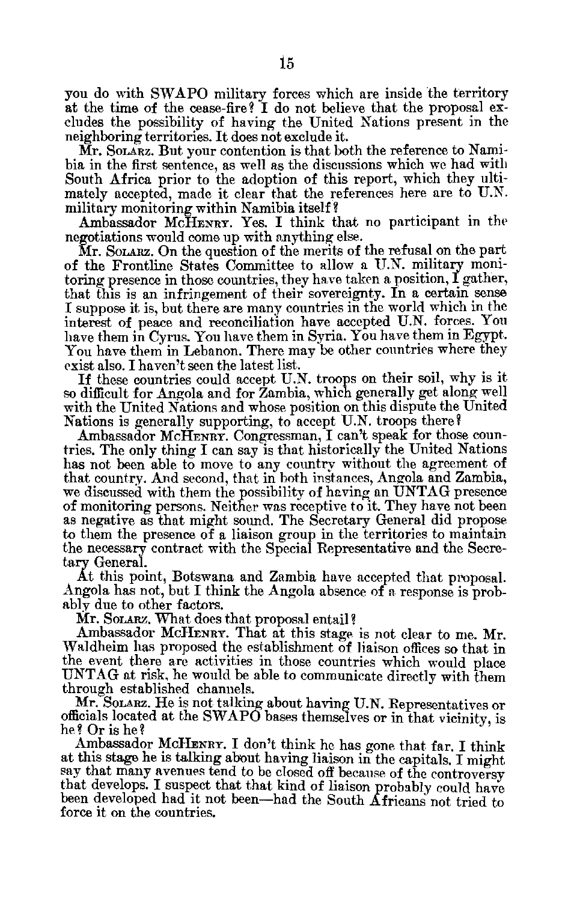you do with SWAPO military forces which are inside the territory at the time of the cease-fire? I do not believe that the proposal ex cludes the possibility of having the United Nations present in the neighboring territories. It does not exclude it.

Mr. **SOLARZ.** But your contention is that both the reference to Nami bia in the first sentence, as well as the discussions which we had with South Africa prior to the adoption of this report, which they ulti mately accepted, made it clear that the references here are to U.N. military monitoring within Namibia itself **?** 

Ambassador McHENRY. Yes. I think that no participant in the negotiations would come up with anything else.

Mr. Solarz. On the question of the merits of the refusal on the part of the Frontline States Committee to allow a U.N. military moni toring presence in those countries, they have taken a position, I gather, that this is an infringement of their sovereignty. In a certain sense I suppose it is, but there are many countries in the world which in the interest of peace and reconciliation have accepted U.N. forces. You have them in Cyrus. You have them in Syria. You have them in Egypt. You have them in Lebanon. There may be other countries where they exist also. I haven't seen the latest list.

If these countries could accept U.N. troops on their soil, why is it so difficult for Angola and for Zambia, which generally get along well with the United Nations and whose position on this dispute the United Nations is generally supporting, to accept U.N. troops there?

Ambassador MCHENRY. Congressman, I can't speak for those coun tries. The only thing I can say is that historically the United Nations has not been able to move to any country without the agreement of that country. And second, that in both instances, Angola **and** Zambia, we discussed with them the possibility of having an UNTAG presence of monitoring persons. Neither was receptive to it. They have not been as negative as that might sound. The Secretary General did propose to them the presence of a liaison group in the territories to maintain the necessary contract with the Special Representative and the Secre tary General.

At this point, Botswana and Zambia have accepted that proposal. Angola has not, but I think the Angola absence of a response is prob ably due to other factors.

Mr. Solarz. What does that proposal entail?

Ambassador McHENRY. That at this stage is not clear to me. Mr. Waldheim has proposed the establishment of liaison offices so that in the event there are activities in those countries which would place UNTAG at risk, he would be able to communicate directly with them through established channels.

Mr. Solarz. He is not talking about having U.N. Representatives or officials located at the SWAPO bases themselves or in that vicinity, is he? Or is he?

Ambassador McHENRY. I don't think he has gone that far. I think at this stage he is talking about having liaison in the capitals. I might say that many avenues tend to be closed off because of the controversy that develops. I suspect that that kind of liaison probably could have been developed had it not been-had the South Africans not tried to force it on the countries.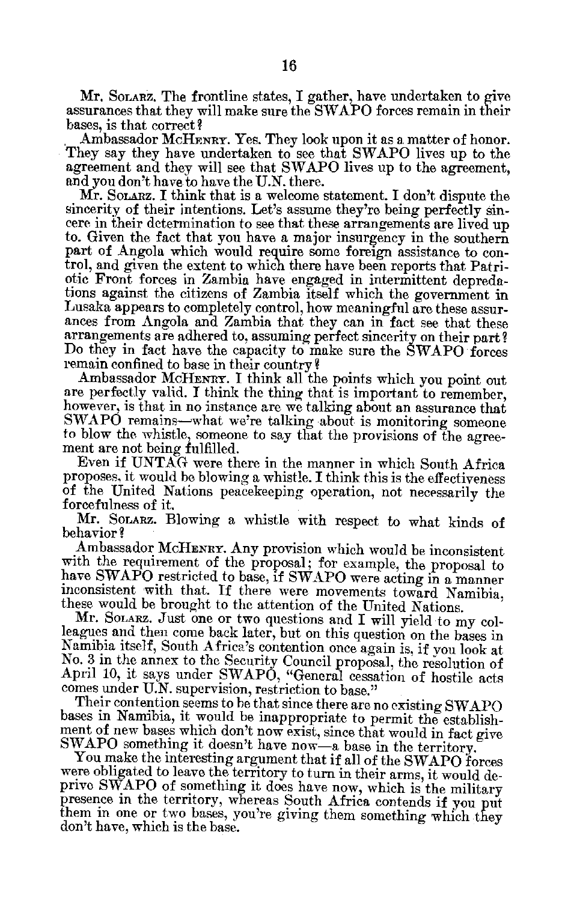Mr. SoLARz. The frontline states, I gather, have undertaken to give assurances that they will make sure the SWAPO forces remain in their bases, is that correct?

Ambassador McHENRY. Yes. They look upon it as a matter of honor. They say they have undertaken to see that SWAPO lives up to the agreement and they will see that SWAPO lives up to the agreement, and you don't have to have the U.N. there.

Mr. Sonarz. I think that is a welcome statement. I don't dispute the sincerity of their intentions. Let's assume they're being perfectly sincere in their determination to see that these arrangements are lived up to. Given the fact that you have a major insurgency in the southern part of Angola which would require some foreign assistance to con trol, and given the extent to which there have been reports that Patri otic Front forces in Zambia have engaged in intermittent depreda tions against the citizens of Zambia itself which the government in Lusaka appears to completely control, how meaningful are these assurances from Angola and Zambia that they can in fact see that these arrangements are adhered to, assuming perfect sincerity on their part? Do they in fact have the capacity to make sure the SWAPO forces remain confined to base in their country?

Ambassador **McHENRY.** I think all the points which you point out are perfectly valid. I think the thing that is important to remember, however, is that in no instance are we talking about an assurance that SWAPO remains-what we're talking about is monitoring someone to blow the whistle, someone to say that the provisions of the agree ment are not being fulfilled.

Even if UNTAG were there in the manner in which South Africa proposes, it would be blowing a whistle. I think this is the effectiveness of the United Nations peacekeeping operation, not necessarily the forcefulness of it.

Mr. SOLARZ. Blowing a whistle with respect to what kinds of behavior?

Ambassador **MCHENRY.** Any provision which would be inconsistent with the requirement of the proposal; for example, the proposal to have SWAPO restricted to base, if SWAPO were acting in a manner inconsistent with that. If there were movements toward Namibia, these would be brought to the attention of the United Nations.

Mr. Sonarz. Just one or two questions and I will yield to my colleagues and then come back later, but on this question on the bases in Namibia itself, South Africa's contention once again is, if you look at No. 3 in the annex to the Security Council proposal, the resolution of April 10, it says under SWAPO, "General cessation of hostile acts comes under U.N. supervision, restriction to base."

Their contention seems to be that since there are no existing SWAPO bases in Namibia, it would be inappropriate to permit the establish ment of new bases which don't now exist, since that would in fact give SWAPO something it doesn't have now-a base in the territory.

You make the interesting argument that if all of the SWAPO forces were obligated to leave the territory to turn in their arms, it would de prive SWAPO of something it does have now, which is the military presence in the territory, whereas South Africa contends if you put them in one or two bases, you're giving them something which they don't have, which is the base.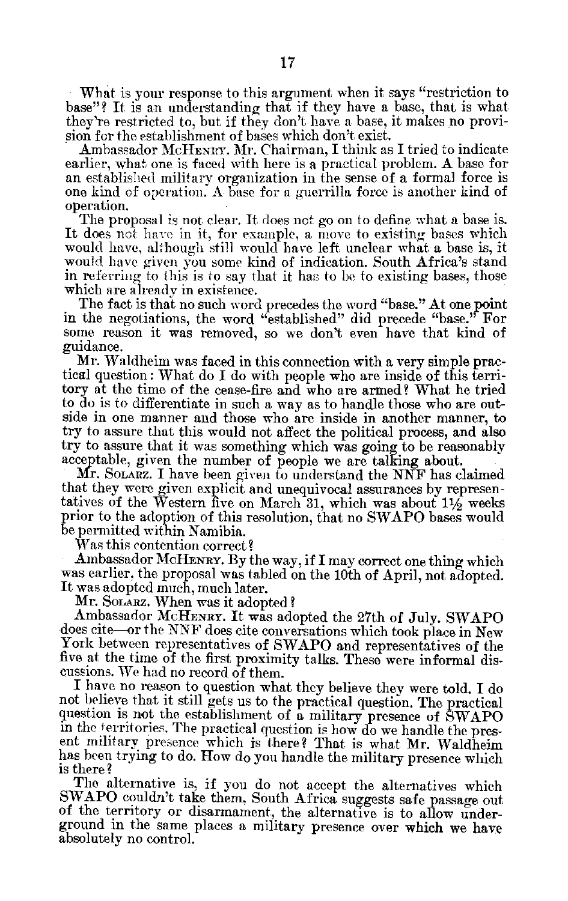What is your response to this argument when it says "restriction to base"? It is an understanding that if they have a base, that is what, they're restricted to, but if they don't have a base, it makes no provi sion for the establishment of bases which don't exist.

Ambassador McHENRy. Mr. Chairman, I think as I tried to indicate earlier, what one is faced with here is a practical problem. A base for an established military organization in the sense of a formal force is one kind of operation. A base for a guerrilla force is another kind of operation.

The proposal is not clear. It does not go on to define what a base is. It does not have in it, for example, a move to existing bases which would have, although still would have left unclear what a base is, it would have given you some kind of indication. South Africa's stand in referring to this is to say that it has to be to existing bases, those which are alreadv in existence.

The fact is that no such word precedes the word "base." At one point in the negotiations, the word "established" did precede "base." For some reason it was removed, so we don't even have that kind of guidance.

Mr. Waldheim was faced in this connection with a very simple prac tical question: What do I do with people who are inside of this terri tory at the time of the cease-fire and who are armed? What he tried to do is to differentiate in such a way as to handle those who are out side in one manner and those who are inside in another manner, to try to assure that this would not affect the political process, and also try to assure that it was something which was going to be reasonably acceptable, given the number of people we are talking about.

Mr. SOLARZ. I have been given to understand the NNF has claimed that they were given explicit and unequivocal assurances by represen tatives of the Western five on March 31, which was about  $1\frac{1}{2}$  weeks prior to the adoption of this resolution, that no SWAPO bases would be permitted within Namibia.

Was this contention correct?

Ambassador MCHENRY. By the way, if I may correct one thing which was earlier, the proposal was tabled on the 10th of April, not adopted. It was adopted much, much later.

Mr. SOLARZ. When was it adopted?

Ambassador McHENRY. It was adopted the 27th of July. SWAPO does cite-or the NNF does cite conversations which took place in New York between representatives of SWAPO and representatives of the five at the time of the first proximity talks. These were informal discussions. We had no record of them.

I have no reason to question what they believe they were told. I do not believe that it still gets us to the practical question. The practical question is not the establishment of a military presence of SWAPO in the ferritories. The practical question is how do we handle the pres ent military presence which is there? That is what Mr. Waldheim has been trying to do. How do you handle the military presence which is there **?** 

The alternative is, if you do not accept the alternatives which SWAPO couldn't take them, South Africa suggests safe passage out of the territory or disarmament, the alternative is to allow under ground in the same places a military presence over which we have absolutely no control.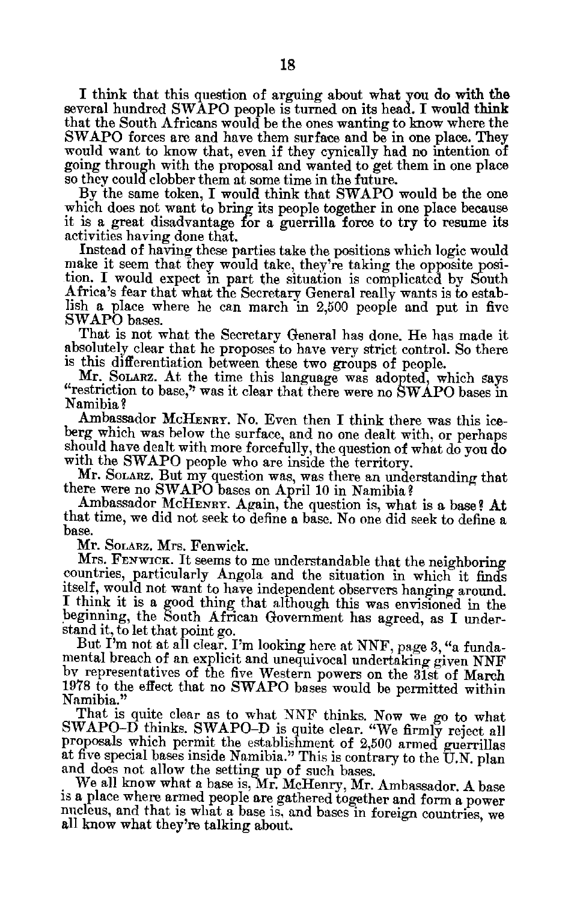I think that this question of arguing about what you do with the several hundred SWAPO people is turned on its head. I would think that the South Africans would be the ones wanting to know where the SWAPO forces are and have them surface and  $b\bar{e}$  in one place. They would want to know that, even if they cynically had no intention of going through with the proposal and wanted to get them in one place **so they** could clobber them at some time in the future.

**By** the same token, I would think that SWAPO would be the one which does not want to bring its people together in one place because it is a great disadvantage **or** a guerrilla force to try to resume its activities having done that.

Instead of having these parties take the positions which logic would make it seem that they would take, they're taking the opposite position. I would expect in part the situation is complicated by South Africa's fear that what the Secretary General really wants is to estab lish a place where he can march in 2,500 people and put in five SWAPO bases.

That is not what the Secretary General has done. He has made it absolutely clear that he proposes to have very strict control. So there is this differentiation between these two groups of people.

Mr. SOLARZ. At the time this language was adopted, which says "restriction to base," was it clear that there were no SWAPO bases in Namibia?

Ambassador McHENRY. No. Even then I think there was this iceberg which was below the surface, and no one dealt with, or perhaps should have dealt with more forcefully, the question of what do you do with the SWAPO people who are inside the territory.

Mr. SOLAnZ. But my question was, was there an understanding that there were no SWAPO bases on April 10 in Namibia?

Ambassador McHENRY. Again, the question is, what is a base? At that time, we did not seek to define a base. No one did seek to define a base.

Mr. SOLARZ. Mrs. Fenwick.

Mrs. FENWICK. It seems to me understandable that the neighboring countries, particularly Angola and the situation in which it finds itself, would not want to have independent observers hanging around. I think it is a good thing that although this was envisioned in the beginning, the South African Government has agreed, as I under stand it, to let that point go.

But I'm not at all clear. I'm looking here at NNF, page 3, "a funda mental breach of an explicit and unequivocal undertaking given **NNF** by representatives of the five Western powers on the 31st of March 1978 to the effect that no SWAPO bases would be permitted within Namibia."

That is quite clear as to what NNF thinks. Now we go to what SWAPO-D thinks. SWAPO-D is quite clear. "We firmly reject all proposals which permit the establishment of 2,500 armed guerrillas at five special bases inside Namibia." This is contrary to the U.N. plan and does not allow the setting up of such bases.<br>We all know what a base is, Mr. McHenry, Mr. Ambassador. A base

is a place where armed people are gathered together and form a power nucleus, and that is what a base is, and bases in foreign countries, we all know what they're talking about.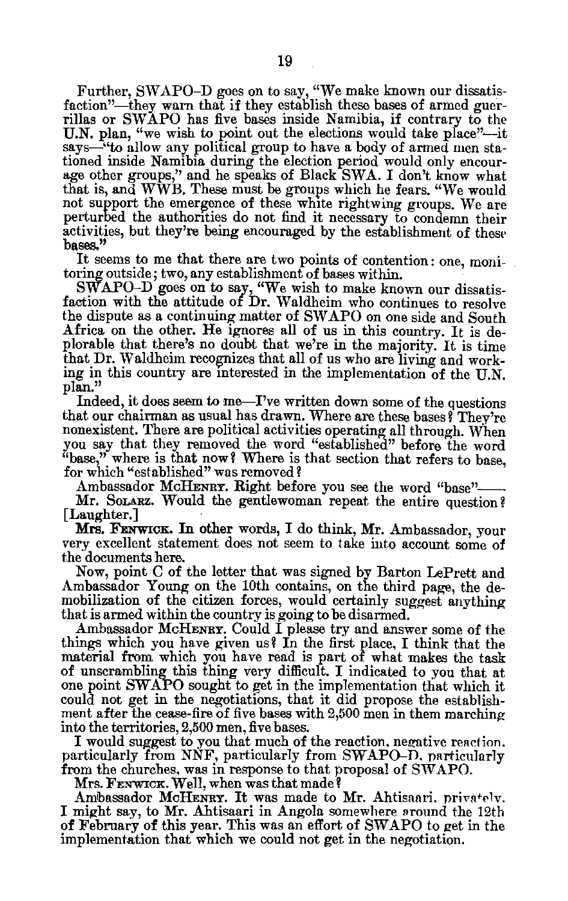Further, SWAPO-D goes on to say, "We make known our dissatis faction"-they warn that if they establish these bases of armed guerrillas or SWAPO has five bases inside Namibia, if contrary to the U.N. plan, "we wish to point out the elections would take place"—it says—"to allow any political group to have a body of armed men stationed inside Namibia during the election period would only encour age other groups," and he speaks of Black SWA. I don't know what that is, and WWB. These must be groups which he fears. "We would not support the emergence of these white rightwing groups. We are perturbed the authorities do not find it necessary to condemn their activities, but they're being encouraged by the establishment of these **bases."** 

It seems to me that there are two points of contention: one, moni toring outside; two, any establishment of bases within.

 ${\rm SWAPO\text{-}D}$  goes on to say, "We wish to make known our dissatis faction with the attitude of Dr. Waldheim who continues to resolve the dispute as a continuing matter of SWAPO on one side and South Africa on the other. He ignores all of us in this country. It is deplorable that there's no doubt that we're in the majority. It is time that Dr. Waldheim recognizes that all of us who are living and work **ing** in this country are interested in the implementation **of the U.N. plan."** 

Indeed, it does seem to me-I've written down some of the questions that our chairman as usual has drawn. Where are these bases? They're nonexistent. There are political activities operating all through. When you say that they removed the word "established" before the word "base," where is that now? Where is that section that refers to base, for which "established" was removed?

Ambassador McHENRY. Right before you see the word "base"-

Mr. Solarz. Would the gentlewoman repeat the entire question? [Laughter.]

Mrs. FENWICK. In other words, I do think, Mr. Ambassador, your very excellent statement does not seem to take into account some of the documents here.

Now, point C of the letter that was signed by Barton LePrett and Ambassador Young on the 10th contains, on the third page, the de mobilization of the citizen forces, would certainly suggest anything that is armed within the country is going to be disarmed.

Ambassador McHENRY. Could I please try and answer some of the things which you have given us? In the first place, I think that the material from which you have read is part of what makes the task of unscrambling this thing very difficult. I indicated to you that at one point SWAPO sought to get in the implementation that which it could not get in the negotiations, that it did propose the establish ment after the cease-fire of five bases with **2,500** men in them marching into the territories, **2,500** men, five bases.

I would suggest to you that much of the reaction, negative reaction. particularly from **NNF,** particularly from SWAPO-D, particularly from the churches, was in response to that proposal of SWAPO.

Mrs. FENWICK. Well, when was that made?

Ambassador **McHENRY.** It was made to Mr. Ahtisaari, privafelv. I might say, to Mr. Ahtisaari in Angola somewhere ground the 12th of February of this year. This was an effort of SWAPO to get in the implementation that which we could not get in the negotiation.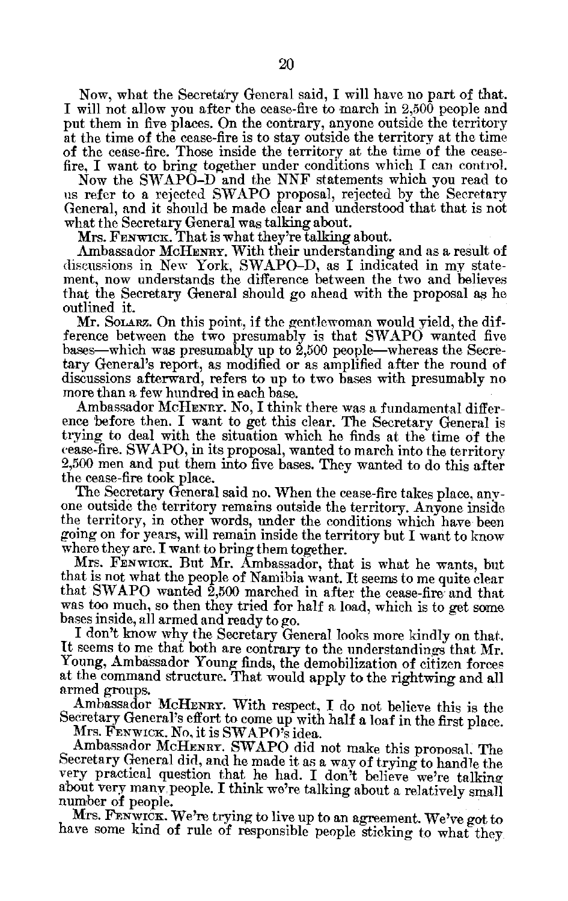Now, what the Secretary General said, I will have no part of that. I will not allow you after the cease-fire to march in 2,500 people and put them in five places. On the contrary, anyone outside the territory at the time of the cease-fire is to stay outside the territory at the time of the cease-fire. Those inside the territory at the time of the cease fire, I want to bring together under conditions which I can control.

Now the SWAPO-D and the NNF statements which you read to us refer to a rejected SWAPO proposal, rejected by the Secretary General, and it should be made clear and understood that that is not what the Secretary General was talking about.

Mrs. **FENWIC i.** That is what they're talking about.

Ambassador McHENRY. With their understanding and as a result of discussions in New York, SWAPO-D, as I indicated in my state ment, now understands the difference between the two and believes that the Secretary General should go ahead with the proposal as he outlined it.

Mr. SOLARZ. On this point, if the gentlewoman would yield, the dif ference between the two presumably is that SWAPO wanted five bases—which was presumably up to 2,500 people—whereas the Secretary General's report, as modified or as amplified after the round of discussions afterward, refers to up to two bases with presumably no more than a few hundred in each base.

Ambassador **MCHENRY.** No, I think there was a fundamental differ ence before then. I want to get this clear. The Secretary General is trying to deal with the situation which he finds at the time of the cease-fire. SWAPO, in its proposal, wanted to march into the territory 2,500 men and put them into five bases. They wanted to do this after the cease-fire took place.

The Secretary General said no. When the cease-fire takes place, any one outside the territory remains outside the territory. Anyone inside the territory, in other words, under the conditions which have been going on for years, will remain inside the territory but I want to know where they are. I want to bring them together.

Mrs. FENWICK. But Mr. Ambassador, that is what he wants, but that is not what the people of Namibia want. It seems to me quite clear that SWAPO wanted 2,500 marched in after the cease-fire and that was too much, so then they tried for half a load, which is to get some bases inside, all armed and ready to go.

I don't know why the Secretary General looks more kindly on that. It seems to me that both are contrary to the understandings that Mr. Young, Ambassador Young finds, the demobilization of citizen forces at the command structure. That would apply to the rightwing and all armed groups.

Ambassador MCHENRY. With respect, I do not believe this is the Secretary General's effort to come up with half a loaf in the first place. Mrs. FENWICK. No, it is SWAPO's idea.

Ambassador McHENRY. SWAPO did not make this proposal. The Secretary General did, and he made it as a way of trying to handle the very practical question that he had. I don't believe we're talking about very many. people. I think we're talking about a relatively small number of people.

Mrs. FENWICK. We're trying to live up to an agreement. We've got to have some kind of rule of responsible people sticking to what they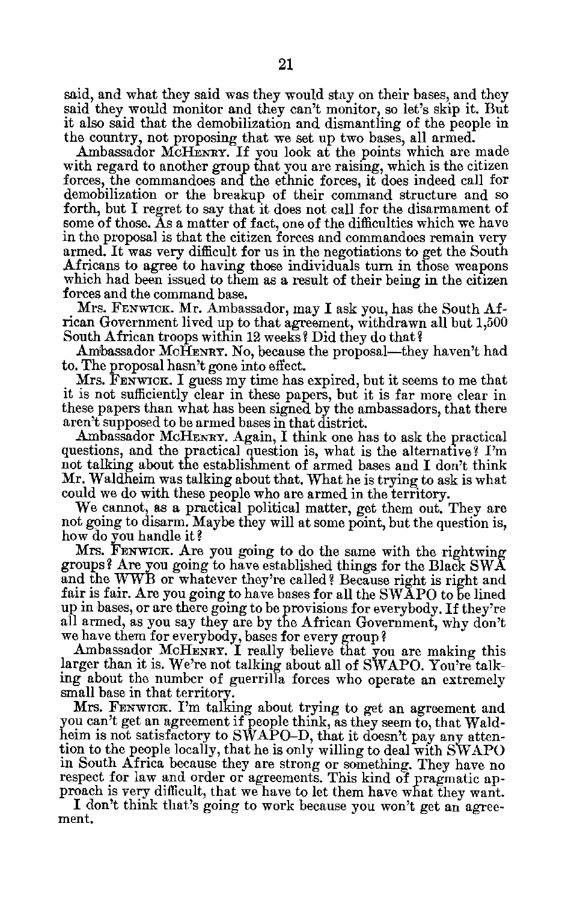said, and what they said was they would stay on their bases, and they said they would monitor and they can't monitor, so let's skip it. But it also said that the demobilization and dismantling of the people in the country, not proposing that we set up two bases, all armed.

Ambassador McHENRY. If you look at the points which are made with regard to another group that you are raising, which is the citizen forces, the commandoes and the ethnic forces, it does indeed call for demobilization or the breakup of their command structure and so forth, but I regret to say that it does not call for the disarmament of some of those. As a matter of fact, one of the difficulties which we have in the proposal is that the citizen forces and commandoes remain very armed. It was very difficult for us in the negotiations to get the South Africans to agree to having those individuals turn in those weapons which had been issued to them as a result of their being in the citizen forces and the command base.

Mrs. FENWICK. Mr. Ambassador, may I ask you, has the South Af rican Government lived up to that agreement, withdrawn all but 1,500 South African troops within 12 weeks? Did they do that?

Ambassador McHENRY. No, because the proposal—they haven't had to. The proposal hasn't gone into effect.

Mrs. FENWICK. I guess my time has expired, but it seems to me that it is not sufficiently clear in these papers, but it is far more clear in these papers than what has been signed by the ambassadors, that there aren't supposed to be armed bases in that district.

Ambassador MCHENRY. Again, I think one has to ask the practical questions, and the practical question is, what is the alternative? I'm not talking about the establishment of armed bases and I don't think Mr. Waldheim was talking about that. What he is trying to ask is what could we do with these people who are armed in the territory.

We cannot, as a practical political matter, get them out. They are not going to disarm. Maybe they will at some point, but the question is, how do you handle it?

Mrs. FENWICK. Are you going to do the same with the rightwing groups? Are you going to have established things for the Black SWA and the WWB or whatever they're called? Because right is right and fair is fair. Are you going to have bases for all the SWAPO to be lined up in bases, or are there going to be provisions for everybody. If they're all armed, as you say they are by the African Government, why don't we have them for everybody, bases for every group?

Ambassador McHENRY. I really believe that you are making this larger than it is. We're not talking about all of SWAPO. You're talk ing about the number of guerrilla forces who operate an extremely small base in that territory.

Mrs. FENWICK. I'm talking about trying to get an agreement and you can't get an agreement if people think, as they seem to, that Wald heim is not satisfactory to SWAPO-D, that it doesn't pay any atten tion to the people locally, that he is only willing to deal with SWAPO in South Africa because they are strong or something. They have no respect for law and order or agreements. This kind of pragmatic ap proach is very difficult, that we have to let them have what they want.

I don't think that's going to work because you won't get an agree ment.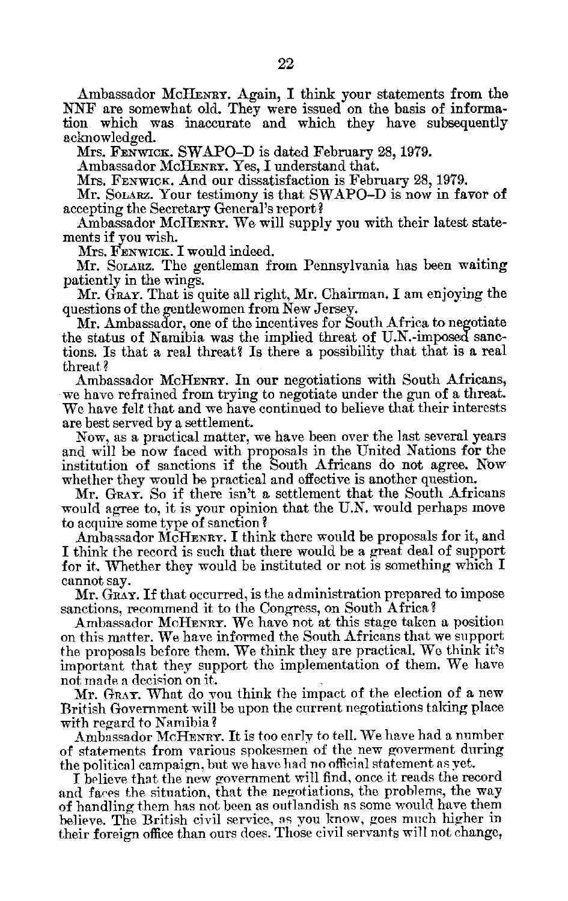Ambassador MCHENRY. Again, I think your statements from the NNF are somewhat old. They were issued on the basis of information which was inaccurate and which they have subsequently acknowledged.

Mrs. FENWICK. SWAPO-D is dated February 28, 1979.

Ambassador MCHENRY. Yes, I understand that.

Mrs. FENWICK. And our dissatisfaction is February 28, 1979.

Mr. **SOLARz.** Your testimony is that SWAPO-D is now in favor of accepting the Secretary General's report?

Ambassador McHENRY. We will supply you with their latest state ments if you wish.

Mrs. FENWICK. I would indeed.

Mr. SorARz. The gentleman from Pennsylvania has been waiting patiently in the wings.

Mr. GRAY. That is quite all right, Mr. Chairman. I am enjoying the questions of the gentlewomen from New Jersey.

Mr. Ambassador, one of the incentives for South Africa to negotiate the status of Namibia was the implied threat of U.N.-imposed sanc tions. Is that a real threat? Is there a possibility that that is a real threat?

Ambassador MCHENRY. In our negotiations with South Africans, we have refrained from trying to negotiate under the gun of a threat. We have felt that and we have continued to believe that their interests are best served by a settlement.

Now, as a practical matter, we have been over the last several years and will be now faced with proposals in the United Nations for the institution of sanctions if the South Africans do not agree. Now whether they would be practical and effective is another question.

Mr. GRAY. So if there isn't a settlement that the South Africans would agree to, it is your opinion that the U.N. would perhaps move to acquire some type of sanction?

Ambassador MCHENRY. I think there would be proposals for it, and I think the record is such that there would be a great deal of support for it. Whether they would be instituted or not is something which I cannot say.

Mr. GRAY. If that occurred, is the administration prepared to impose sanctions, recommend it to the Congress, on South Africa?

Ambassador McHENRY. We have not at this stage taken a position on this matter. We have informed the South Africans that we support the proposals before them. We think they are practical. We think it's important that they support the implementation of them. We have not made a decision on it.

Mr. GRAY. What do you think the impact of the election of a new British Government will be upon the current negotiations taking place with regard to Namibia?

Ambassador McHENRY. It is too early to tell. We have had a number of statements from various spokesmen of the new goverment during the political campaign, but we have had no official statement as yet.

I believe that the new government will find, once it reads the record and fares the situation, that the negotiations, the problems, the way of handling them has not been as outlandish as some would have them believe. The British civil service, as you know, goes much higher in their foreign office than ours does. Those civil servants will not change,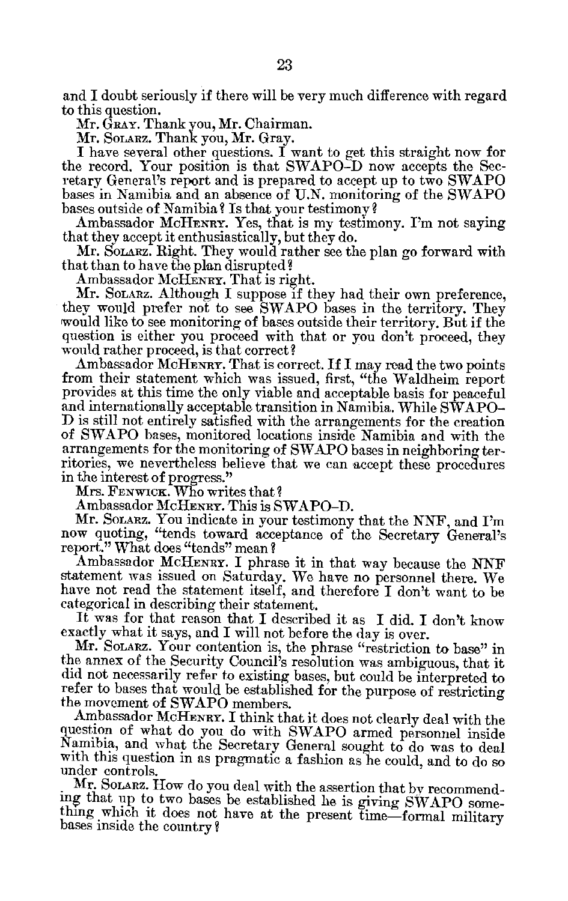and I doubt seriously if there will be very much difference with regard to this question.

Mr. GRAY. Thank you, Mr. Chairman.

Mr. SOLARZ. Thank you, Mr. Gray.

I have several other questions. I want to get this straight now for the record. Your position is that SWAPO-D now accepts the Sec retary General's report and is prepared to accept up to two SWAPO bases in Namibia and an absence of U.N. monitoring of the SWAPO bases outside of Namibia? Is that your testimony?

Ambassador MCHENRY. Yes, that is my testimony. I'm not saying that they accept it enthusiastically, but they do.

Mr. SOLARZ. Right. They would rather see the plan go forward with that than to have the plan disrupted?

Ambassador McHENRY. That is right.

Mr. SOLARZ. Although I suppose if they had their own preference, they would prefer not to see SWAPO bases in the territory. They would like to see monitoring of bases outside their territory. But if the question is either you proceed with that or you don't proceed, they would rather proceed, is that correct?

Ambassador McHENRY. That is correct. If I may read the two points from their statement which was issued, first, "the Waldheim report provides at this time the only viable and acceptable basis for peaceful and internationally acceptable transition in Namibia. While SWAPO **D** is still not entirely satisfied with the arrangements for the creation of SWAPO bases, monitored locations inside Namibia and with the arrangements for the monitoring of SWAPO bases in neighboring ter ritories, we nevertheless believe that we can accept these procedures in the interest of progress."

Mrs. FENWICK. Who writes that?

Ambassador McHENRY. This is SWAPO-D.

Mr. SOLARZ. You indicate in your testimony that the NNF, and I'm now quoting, "tends toward acceptance of the Secretary General's report." What does "tends" mean?

Ambassador McHENRY. I phrase it in that way because the NNF statement was issued on Saturday. We have no personnel there. We have not read the statement itself, and therefore I don't want to be categorical in describing their statement.

It was for that reason that I described it as I did. I don't know exactly what it says, and I will not before the day is over.

Mr. SOLARZ. Your contention is, the phrase "restriction to base" in the annex of the Security Council's resolution was ambiguous, that it did not necessarily refer to existing bases, but could be interpreted to refer to bases that would be established for the purpose of restricting the movement of SWAPO members.

Ambassador McHENRY. **I** think that it does not clearly deal with the question of what do you do with SWAPO armed personnel inside Namibia, and what the Secretary General sought to do was to deal with this question in as pragmatic a fashion as he could, and to do so under controls.

Mr. Solarz. How do you deal with the assertion that by recommending that up to two bases be established he is giving SWAPO some thing which it does not have at the present time-formal military bases inside the country?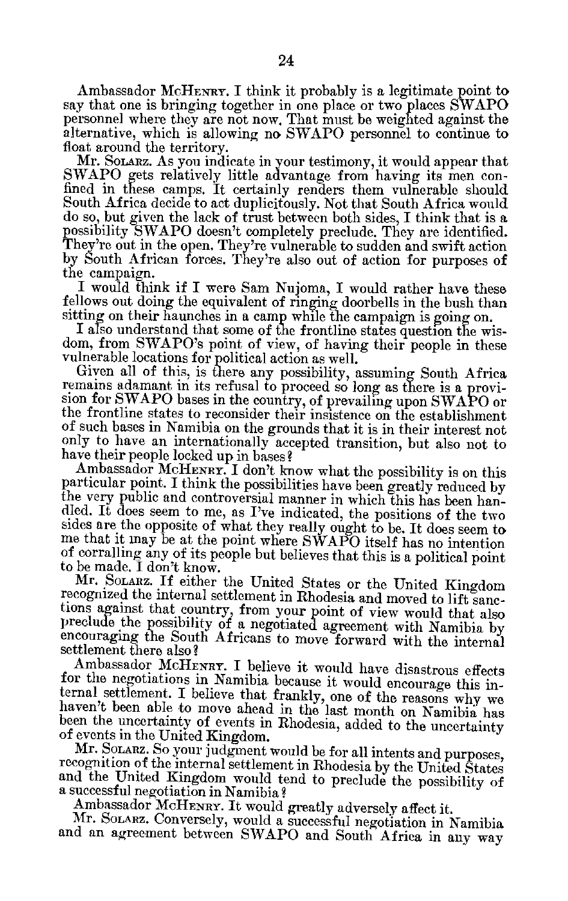Ambassador MCHENRY. I think it probably is a legitimate point to say that one is bringing together in one place or two places SWAPO personnel where they are not now. That must be weighted against the alternative, which is allowing no SWAPO personnel to continue to float around the territory.

Mr. SOLARZ. As you indicate in your testimony, it would appear that SWAPO gets relatively little advantage from having its men confined in these camps. It certainly renders them vulnerable should South Africa decide to act duplicitously. Not that South Africa would do so, but given the lack of trust between both sides, I think that is a possibility SWAPO doesn't completely preclude. They are identified. They're out in the open. They're vulnerable to sudden and swift action<br>by South African forces. They're also out of action for purposes of the campaign.

I would think if I were Sam Nujoma, I would rather have these fellows out doing the equivalent of ringing doorbells in the bush than

sitting on their haunches in a camp while the campaign is going on.<br>I also understand that some of the frontline states question the wisdom, from SWAPO's point of view, of having their people in these

vulnerable locations for political action as well.<br>Given all of this, is there any possibility, assuming South Africa remains adamant in its refusal to proceed so long as there is a provision for SWAPO bases in the country, of prevailing upon SWAPO or the frontline states to reconsider their insistence on the establishment of such bases in Namibia on the grounds that it is in their interest not only to have an internationally accepted transition, but also not to have their people locked up in bases?

Ambassador McHENRY. I don't know what the possibility is on this particular point. I think the possibilities have been greatly reduced by the very public and controversial manner in which this has been handled. It does seem to me, as I've indicated, the positions of the two sides are the opposite of what they really ought to be. It does seem to me that it may be at the point where SWAPO itself has no intention of corralling any of its people but believes that this is a political point

to be made. I don't know.<br>Mr. SOLARZ. If either the United States or the United Kingdom recognized the internal settlement in Rhodesia and moved to lift sanctions against that country, from your point of view would that also preclude the possibility of a negotiated agreement with Namibia by encouraging the So

settlement there also?<br>Ambassador McHENRY. I believe it would have disastrous effects for the negotiations in Namibia because it would encourage this internal settlement. I believe that frankly, one of the reasons why we haven't been able to move ahead in the last month on Namibia has been the uncertainty o

of events in the United Kingdom.<br>Mr. Sonarz. So your judgment would be for all intents and purposes, recognition of the internal settlement in Rhodesia by the United States and the United Kingdom would tend to preclude the possibility of a successful negotiation in Namibia?

Ambassador McHENRY. It would greatly adversely affect it. Mr. SOLARZ. Conversely, would a successful negotiation in Namibia and an agreement between SWAPO and South Africa in any way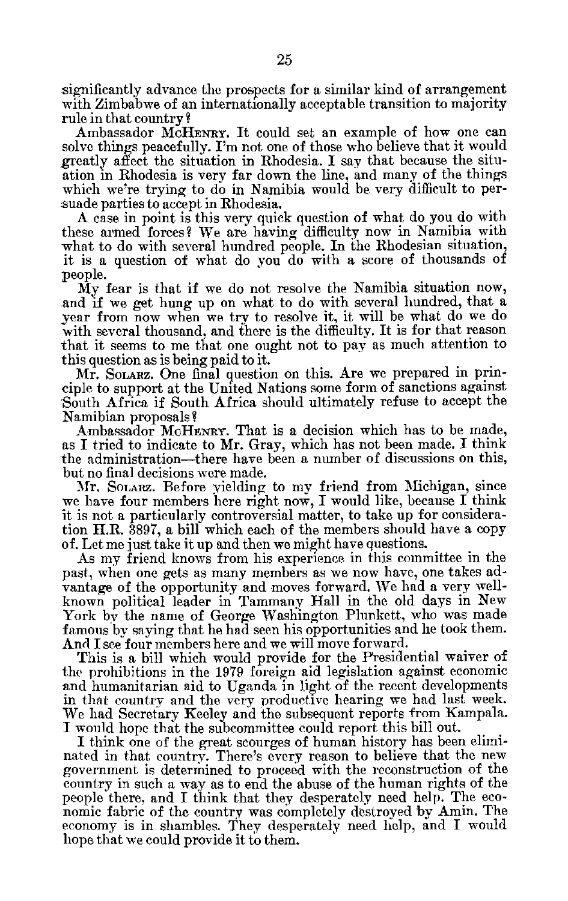significantly advance the prospects for a similar kind of arrangement with Zimbabwe of an internationally acceptable transition to majority rule in that country?

Ambassador McHENRY. It could set an example of how one can solve things peacefully. I'm not one of those who believe that it would greatly affect the situation in Rhodesia. I say that because the situ ation in Rhodesia is very far down the line, and many of the things which we're trying to do in Namibia would be very difficult to per suade parties to accept in Rhodesia.

A case in point is this very quick question of what do you do with these armed forces? We are having difficulty now in Namibia with what to do with several hundred people. In the Rhodesian situation, it is a question of what do you do with a score of thousands of people.

My fear is that if we do not resolve the Namibia situation now, and if we get hung up on what to do with several hundred, that a year from now when we try to resolve it, it will be what do we do with several thousand, and there is the difficulty. It is for that reason that it seems to me that one ought not to pay as much attention to this question as is being paid to it.

Mr. SoLARZ. One final question on this. Are we prepared in principle to support at the United Nations some form of sanctions against South Africa if South Africa should ultimately refuse to accept the Namibian proposals?

Ambassador McHENRY. That is a decision which has to be made, as I tried to indicate to Mr. Gray, which has not been made. I think the administration-there have been a number of discussions on this, but no final decisions were made.

Mr. SOLARZ. Before yielding to my friend from Michigan, since we have four members here right now, I would like, because I think it is not a particularly controversial matter, to take up for considera tion H.R. 3897, a bill which each of the members should have a copy of. Let me just take it up and then we might have questions.

As my friend knows from his experience in this committee in the past, when one gets as many members as we now have, one takes ad vantage of the opportunity and moves forward. We had a very well known political leader in Tammany Hall in the old days in New York **by** the name of George Washington Plunkett, who was made famous by saying that he had seen his opportunities and he took them. And I see four members here and we will move forward.

This is a bill which would provide for the Presidential waiver of the prohibitions in the 1979 foreign aid legislation against economic and humanitarian aid to Uganda in light of the recent developments in that country and the very productive hearing we had last week. We had Secretary Keeley and the subsequent reports from Kampala. I would hope that the subcommittee could report this bill out.

I think one of the great scourges of human history has been elimi nated in that country. There's every reason to believe that the new government is determined to proceed with the reconstruction of the country in such a way as to end the abuse of the human rights of the people there, and I think that they desperately need help. The eco nomic fabric of the country was completely destroyed by Amin. The economy is in shambles. They desperately need help, and I would hope that we could provide it to them.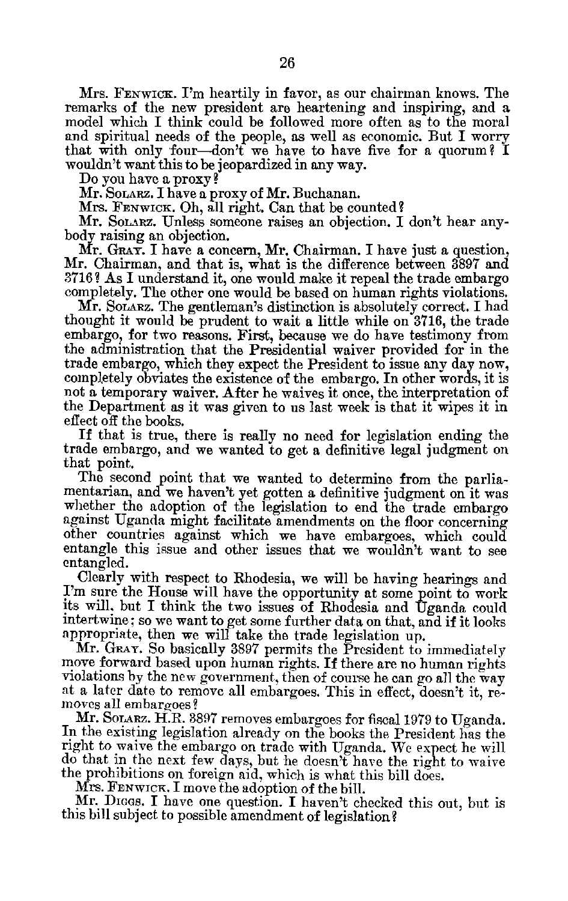Mrs. **FENWICK.** I'm heartily in favor, as our chairman knows. The remarks of the new president are heartening and inspiring, and a model which I think could be followed more often as to the moral and spiritual needs of the people, as well as economic. But I worry that with only four-don't we have to have five for a quorum? I wouldn't want this to be jeopardized in any way.

Do you have a proxy?

Mr. SoLARz. I have a proxy of Mr. Buchanan.

Mrs. FENWICK. Oh, all right. Can that be counted?

Mr. Solarz. Unless someone raises an objection. I don't hear anybody raising an objection.

Mr. GRAY. I have a concern, Mr. Chairman. I have just a question, Mr. Chairman, and that is, what is the difference between 3897 and 3716? As I understand it, one would make it repeal the trade embargo completely. The other one would be based on human rights violations.

Mr. Solarz. The gentleman's distinction is absolutely correct. I had thought it would be prudent to wait a little while on 3716, the trade embargo, for two reasons. First, because we do have testimony from the administration that the Presidential waiver provided for in the trade embargo, which they expect the President to issue any day now, completely obviates the existence of the embargo. In other words, it is not a temporary waiver. After he waives it once, the interpretation of the Department as it was given to us last week is that it wipes it in effect off the books.

If that is true, there is really no need for legislation ending the trade embargo, and we wanted to get a definitive legal judgment on that point.

The second point that we wanted to determine from the parlia mentarian, and we haven't yet gotten a definitive judgment on it was whether the adoption of the legislation to end the trade embargo against Uganda might facilitate amendments on the floor concerning other countries against which we have embargoes, which could entangle this issue and other issues that we wouldn't want to see entangled.

Clearly with respect to Rhodesia, we will be having hearings and I'm sure the House will have the opportunity at some point to work its will, but I think the two issues of Rhodesia and Uganda could intertwine; so we want to get some further data on that, and if it looks appropriate, then we will take the trade legislation up.

Mr. GRAY. So basically 3897 permits the President to immediately move forward based upon human rights. If there are no human rights violations by the new government, then of course he can go all the way at a later date to remove all embargoes. This in effect, doesn't it, re moves all embargoes?

Mr. SOLARZ. H.R. 3897 removes embargoes for fiscal 1979 to Uganda. In the existing legislation already on the books the President has the right to waive the embargo on trade with Uganda. We expect he will do that in the next few days, but he doesn't have the right to waive the prohibitions on foreign aid, which is what this bill does.

Mrs. FENWICK. I move the adoption of the bill.

Mr. Dices. I have one question. I haven't checked this out, but is this bill subject to possible amendment of legislation?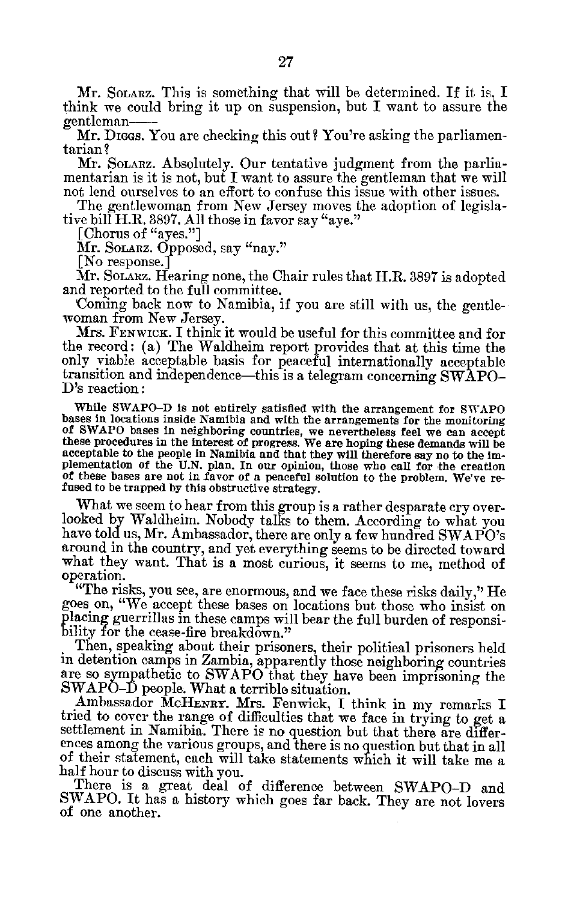Mr. SOLARZ. This is something that will be determined. If it is, I think we could bring it up on suspension, but I want to assure the gentleman

Mr. Dicas. You are checking this out? You're asking the parliamentarian?

Mr. Solarz. Absolutely. Our tentative judgment from the parliamentarian is it is not, but I want to assure the gentleman that we will not lend ourselves to an effort to confuse this issue with other issues.

The gentlewoman from New Jersey moves the adoption of legisla tive bill H.R. 3897. **All** those in favor say "aye."

[Chorus of "ayes."]

Mr. Solarz. Opposed, say "nay."

[No response.]

Mr. SOLARZ. Hearing none, the Chair rules that H.R. 3897 is adopted and reported to the full committee.

'Coming back now to Namibia, if you are still with us, the gentle woman from New Jersey.

Mrs. **FENWICK.** I think it would be useful for this committee and for the record: (a) The Waldheim report provides that at this time the only viable acceptable basis for peaceful internationally acceptable transition and independence-this is a telegram concerning SWAPO D's reaction:

While SWAPO-D is not entirely satisfied with the arrangement for SWAPO bases in locations inside Namibia and with the arrangements for the monitoring **of** SWAPO bases in neighboring countries, we nevertheless feel we can accept these procedures in the interest of progress. We are hoping these demands will be acceptable to the people in Namibia and that they will therefore say no to the implementation of the U.N. plan. In our opinion, those who call for the creation of these bases are not in favor of a peaceful solution to the problem. We've refused to be trapped by this obstructive strategy.

What we seem to hear from this group is a rather desparate cry overlooked by Waldheim. Nobody talks to them. According to what you have told us, Mr. Ambassador, there are only a few hundred SWAPO's around in the country, and yet everything seems to be directed toward what they want. That is a most curious, it seems to me, method of

operation. "The risks, you see, are enormous, and we face these risks daily," He goes on, "We accept these bases on locations but those who insist on placing guerrillas in these camps will bear the full burden of responsi bility for the cease-fire breakdown."

Then, speaking about their prisoners, their political prisoners held in detention camps in Zambia, apparently those neighboring countries are so sympathetic to SWAPO that they have been imprisoning the SWAPO-D people. What a terrible situation.

Ambassador McHENRY. Mrs. Fenwick, I think in my remarks I tried to cover the range of difficulties that we face in trying to get a settlement in Namibia. There is no question but that there are differences among the various groups, and there is no question but that in all of their statement, each will take statements which it will take me a half hour to discuss with you.

There is a great deal of difference between SWAPO-D and SWAPO. It has a history which goes far back. They are not lovers of one another.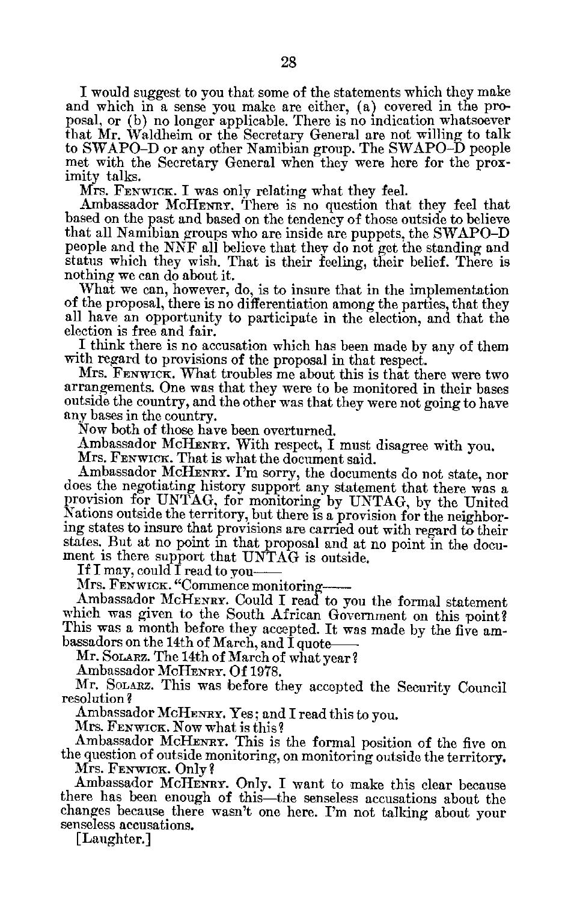I would suggest to you that some of the statements which they make and which in a sense you make are either, (a) covered in the pro posal, or (b) no longer applicable. There is no indication whatsoever that Mr. Waldheim or the Secretary General are not willing to talk to SWAPO-D or any other Namibian group. The SWAPO-D people met with the Secretary General when they were here for the prox imity talks.

Mrs. **FENWICK.** I was only relating what they feel.

Ambassador McHENRY. There is no question that they feel that based on the past and based on the tendency of those outside to believe that all Namibian groups who are inside are puppets, the SWAPO-D people and the NNF all believe that they do not get the standing and status which they wish. That is their feeling, their belief. There is nothing we can do about it.

What we can, however, do, is to insure that in the implementation of the proposal, there is no differentiation among the parties, that they all have an opportunity to participate in the election, and that the election is free and fair.

I think there is no accusation which has been made by any of them with regard to provisions of the proposal in that respect.

Mrs. FENWICK. What troubles me about this is that there were two arrangements. One was that they were to be monitored in their bases outside the country, and the other was that they were not going to have any bases in the country.

Now both of those have been overturned.

Ambassador MCHENRY. With respect, I must disagree with you.

Mrs. FENwicK. That is what the document said.

Ambassador McHENRY. I'm sorry, the documents do not state, nor does the negotiating history support any statement that there was a provision for UNTAG, for monitoring by UNTAG, **by** the United Nations outside the territory, but there is a provision for the neighbor Nations outside the territory, but there is a provision for the neighboring states to insure that provisions are carried out with regard to their states. But at no point in that proposal and at no point in the docu ment is there support that UNTAG is outside.

If I may, could I read to you

Mrs. FENWICK. "Commence monitoring

Ambassador MCHENRY. Could I read to you the formal statement which was given to the South African Government on this point? This was a month before they accepted. It was made by the five ambassadors on the 14th of March, and I quote

Mr. SOLARZ. The 14th of March of what year?

Ambassador McHENRY. Of 1978.

Mr. SOLARZ. This was before they accepted the Security Council resolution?

Ambassador McHENRY. Yes; and I read this to you.

Mrs. **FENWICK.** Now what is this?

Ambassador McHENRY. This is the formal position of the five on the question of outside monitoring, on monitoring outside the territory. Mrs. FENWICK. Only?

Ambassador McHENRY. Only. I want to make this clear because there has been enough of this—the senseless accusations about the changes because there wasn't one here. I'm not talking about your senseless accusations.

[Laughter.]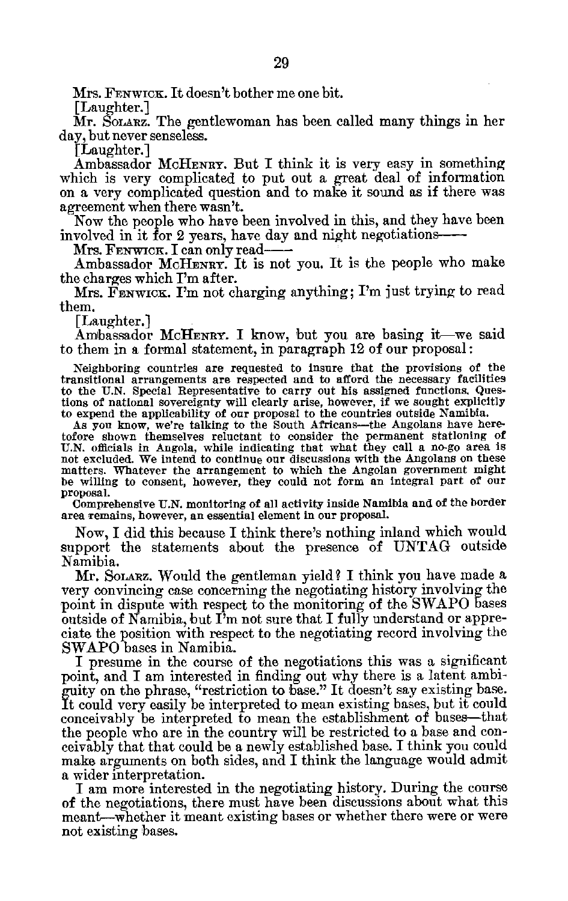Mrs. FENWICK. It doesn't bother me one bit.

[Laughter.]

Mr. SoLARz. The gentlewoman has been called many things in her day, but never senseless.

[Laughter.]

Ambassador McHENRY. But I think it is very easy in something which is very complicated to put out a great deal of information on a very complicated question and to make it sound as if there was agreement when there wasn't.

Now the people who have been involved in this, and they have been involved in it for 2 years, have day and night negotiations

Mrs. FENWICK. I can only read

Ambassador McHENRY. It is not you. It is the people who make the charges which I'm after.

Mrs. FENWICK. I'm not charging anything; I'm just trying to read them.

[Laughter.]

Ambassador McHENRY. I know, but you are basing it-we said to them in a formal statement, in paragraph 12 of our proposal:

Neighboring countries are requested to insure that the provisions of the transitional arrangements are respected and to afford the necessary facilities to the U.N. Special Representative to carry out his assigned functions. Ques tions of national sovereignty will clearly arise, however, if we sought explicitly to expend the applicability of our proposal to the countries outside Namibia.

As you know, we're talking to the South Africans-the Angolans have here tofore shown themselves reluctant to consider the permanent stationing of U.N. officials in Angola, while indicating that what they call a no-go area is not excluded. We intend to continue our discussions with the Angolans on these matters. Whatever the arrangement to which the Angolan government might be willing to consent, however, they could not form an integral part of our proposal.

Comprehensive U.N. monitoring of all activity inside Namibia and of the border area remains, however, an essential element in our proposal.

Now, I did this because I think there's nothing inland which would support the statements about the presence  $\bar{0}f$  UNTAG outside Namibia.

Mr. SOLARz. Would the gentleman yield? I think you have made a very convincing case concerning the negotiating history involving the point in dispute with respect to the monitoring of the SWAPO bases outside of Namibia, but I'm not sure that I fully understand or appreciate the position with respect to the negotiating record involving the SWAPO bases in Namibia.

I presume in the course of the negotiations this was a significant point, and I am interested in finding out why there is a latent ambi guity on the phrase, "restriction to base." It doesn't say existing base. It could very easily be interpreted to mean existing bases, but it could conceivably be interpreted to mean the establishment of bases-that the people who are in the country will be restricted to a base and con ceivably that that could be a newly established base. I think you could make arguments on both sides, and I think the language would admit a wider interpretation.

I am more interested in the negotiating history. During the course of the negotiations, there must have been discussions about what this meant-whether it meant existing bases or whether there were or were not existing bases.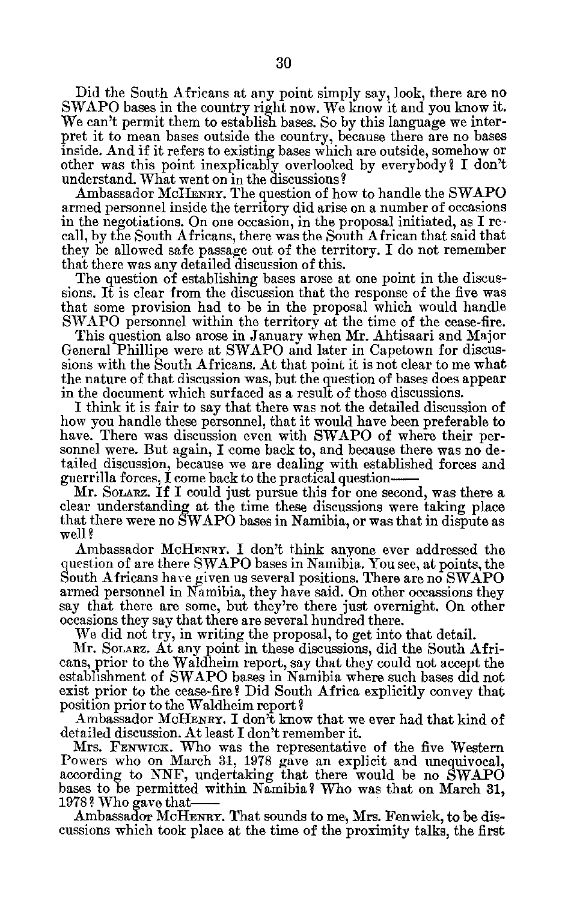Did the South Africans at any point simply say, look, there are no SWAPO bases in the country right now. We know it and you know it. We can't permit them to establish bases. So by this language we inter pret it to mean bases outside the country, because there are no bases inside. And if it refers to existing bases which are outside, somehow or other was this point inexplicably overlooked by everybody? I don't understand. What went on in the discussions?

Ambassador McHENRY. The question of how to handle the SWAPO armed personnel inside the territory did arise on a number of occasions in the negotiations. On one occasion, in the proposal initiated, as I re call, by the South Africans, there was the South African that said that they be allowed safe passage out of the territory. I do not remember that there was any detailed discussion of this.

The question of establishing bases arose at one point in the discus sions. It is clear from the discussion that the response of the five was that some provision had to be in the proposal which would handle SWAPO personnel within the territory at the time of the cease-fire.

This question also arose in January when Mr. Ahtisaari and Major General Phillipe were at SWAPO and later in Capetown for discus sions with the South Africans. At that point it is not clear to me what the nature of that discussion was, but the question of bases does appear in the document which surfaced as a result of those discussions.

I think it is fair to say that there was not the detailed discussion of how you handle these personnel, that it would have been preferable to have. There was discussion even with SWAPO of where their personnel were. But again, I come back to, and because there was no de tailed discussion, because we are dealing with established forces and guerrilla forces, I come back to the practical question

Mr. Sonarz. If I could just pursue this for one second, was there a clear understanding at the time these discussions were taking place that there were no SWAPO bases in Namibia, or was that in dispute as well?

Ambassador **MCIIENRY.** I don't think anyone ever addressed the question of are there SWAPO bases in Namibia. You see, at points, the South Africans have given us several positions. There are no SWAPO armed personnel in Namibia, they have said. On other occassions they say that there are some, but they're there just overnight. On other occasions they say that there are several hundred there.

We did not try, in writing the proposal, to get into that detail.

Mr. Sonarz. At any point in these discussions, did the South Africans, prior to the Waldheim report, say that they could not accept the establishment of SWAPO bases in Namibia where such bases did not exist prior to the cease-fire? Did South Africa explicitly convey that position prior to the Waldheim report?

Ambassador McHENRY. I don't know that we ever had that kind of detailed discussion. At least I don't remember it.

Mrs. **FEN WICK.** Who was the representative of the five Western Powers who on March 31, 1978 gave an explicit and unequivocal, according to NNF, undertaking that there would be no SWAPO bases to be permitted within Namibia? Who was that on March 31, 1978? Who gave that

Ambassador McHENRY. That sounds to me, Mrs. Fenwick, to be discussions which took place at the time of the proximity talks, the first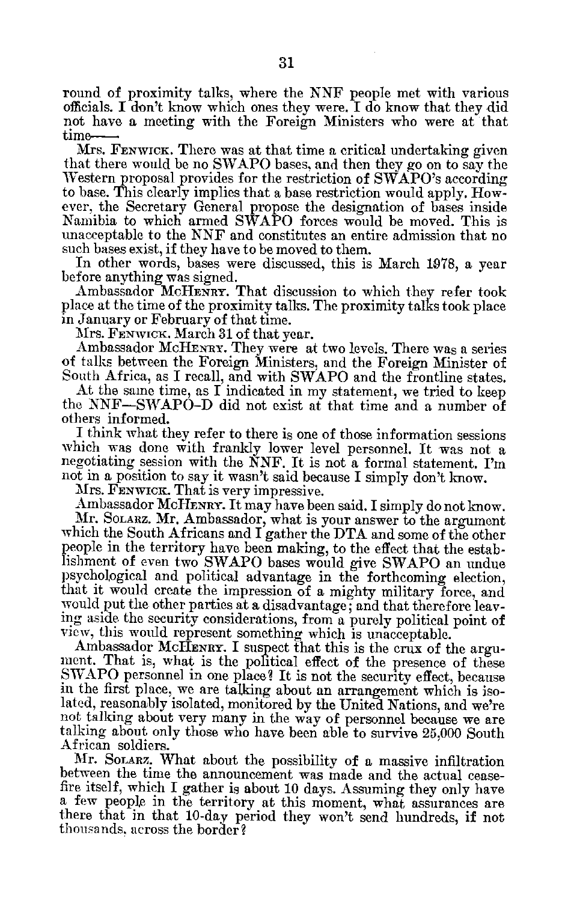round of proximity talks, where the NNF people met with various officials. I don't know which ones they were. I do know that they did not have a meeting with the Foreign Ministers who were at that time

Mrs. FENWICK. There was at that time a critical undertaking given that there would be no SWAPO bases, and then they go on to say the Western proposal provides for the restriction of SWAPO's according to base. This clearly implies that a base restriction would apply. How ever, the Secretary General propose the designation of bases inside Namibia to which armed SWAPO forces would be moved. This is unacceptable to the NNF and constitutes an entire admission that no such bases exist, if they have to be moved to them.

In other words, bases were discussed, this is March 1978, a year before anything was signed.

Ambassador McHENRY. That discussion to which they refer took place at the time of the proximity talks. The proximity talks took place in January or February of that time.

Mrs. FENWICK. March 31 of that year.

Ambassador McHENRY. They were at two levels. There was a series of talks between the Foreign Ministers. and the Foreign Minister of South Africa, as I recall, and with SWAPO and the frontline states.

At the same time, as I indicated in my statement, we tried to keep the NNF-SIVAPO-D did not exist at that time and a number of others informed.

I think what they refer to there is one of those information sessions which was done with frankly lower level personnel. It was not a negotiating session with the NNF. It is not a formal statement. I'm not in a position to say it wasn't said because I simply don't know.

Mrs. FENWICK. That is very impressive.

Ambassador MCHENRY. It may have been said. I simply do not know. Mr. SOLARZ. Mr. Ambassador, what is your answer to the argument which the South Africans and I gather the DTA and some of the other people in the territory have been making, to the effect that the estab lishment of even two SWAPO bases would give SWAPO an undue psychological and political advantage in the forthcoming election, that it would create the impression of a mighty military force, and would put the other parties at a disadvantage; and that therefore leav ing aside the security considerations, from a purely political point of view, this would represent something which is unacceptable.

Ambassador McHENRY. I suspect that this is the crux of the argument. That is, what is the political effect of the presence of these .SWAPO personnel in one place? It is not the security effect, because in the first place, we are talking about an arrangement which is iso lated, reasonably isolated, monitored by the United Nations, and we're not talking about very many in the way of personnel because we are talking about only those who have been able to survive 25,000 South African soldiers.

Mr. SOLARZ. What about the possibility of a massive infiltration between the time the announcement was made and the actual cease fire itself, which I gather is about 10 days. Assuming they only have a few people in the territory at this noment, what assurances are there that in that 10-day period they won't send hundreds, if not thousands. across the border?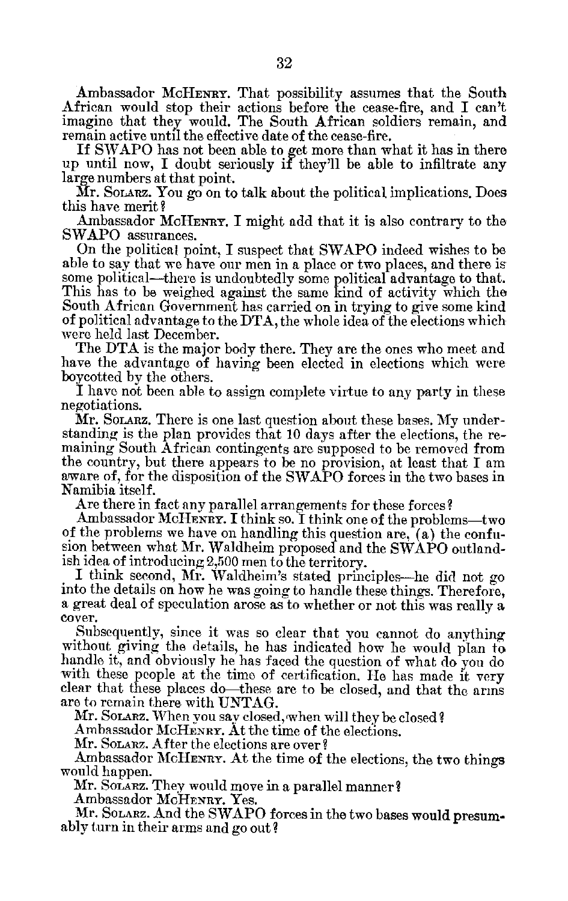Ambassador McHENRY. That possibility assumes that the South African would stop their actions before the cease-fire, and I can't imagine that they would. The South African soldiers remain, and remain active until the effective date of the cease-fire.

If SWAPO has not been able to get more than what it has in there up until now, I doubt seriously if they'll be able to infiltrate any large numbers at that point.

Mr. SoLARz. You go on to talk about the political implications. Does this have merit?

Ambassador McHENRY. I might add that it is also contrary to the SWAPO assurances.

On the political point, I suspect that SWAPO indeed wishes to be able to say that we have our men in a place or two places, and there is some political—there is undoubtedly some political advantage to that. This has to be weighed against the same kind of activity which the South African Government has carried on in trying to give some kind of political advantage to the DTA, the whole idea of the elections which were held last December.

The DTA is the major body there. They are the ones who meet and have the advantage of having been elected in elections which were boycotted by the others.

I have not been able to assign complete virtue to any party in these negotiations.

Mr. SOLARz. There is one last question about these bases. My under standing is the plan provides that 10 days after the elections, the re maining South African contingents are supposed to be removed from the country, but there appears to be no provision, at least that I am aware of, for the disposition of the SWAPO forces in the two bases in Namibia itself.

Are there in fact any parallel arrangements for these forces?

Ambassador McHENRY. I think so. I think one of the problems-two of the problems we have on handling this question are, (a) the confu sion between what Mr. Waldheim proposed and the SWAPO outland ish idea of introducing 2,500 men to the territory.

I think second, Mr. Waldheim's stated principles-he did not go into the details on how he was going to handle these things. Therefore, a great deal of speculation arose as to whether or not this was really a cover.

Subsequently, since it was so clear that you cannot do anything without giving the details, he has indicated how he would plan to handle it, and obviously he has faced the question of what do you do with these people at the time of certification. He has made it very clear that these places do-these are to be closed, and that the arms are to remain there with UNTAG.

Mr. Solarz. When you say closed, when will they be closed?

Ambassador McHENRY. At the time of the elections.

Mr. SOLARZ. After the elections are over?

Ambassador McHENRY. At the time of the elections, the two things would happen.

Mr. SoLARZ. They would move in a parallel manner?

Ambassador McHENRY. Yes.

Mr. Solarz. And the SWAPO forces in the two bases would presumably turn in their arms and go out?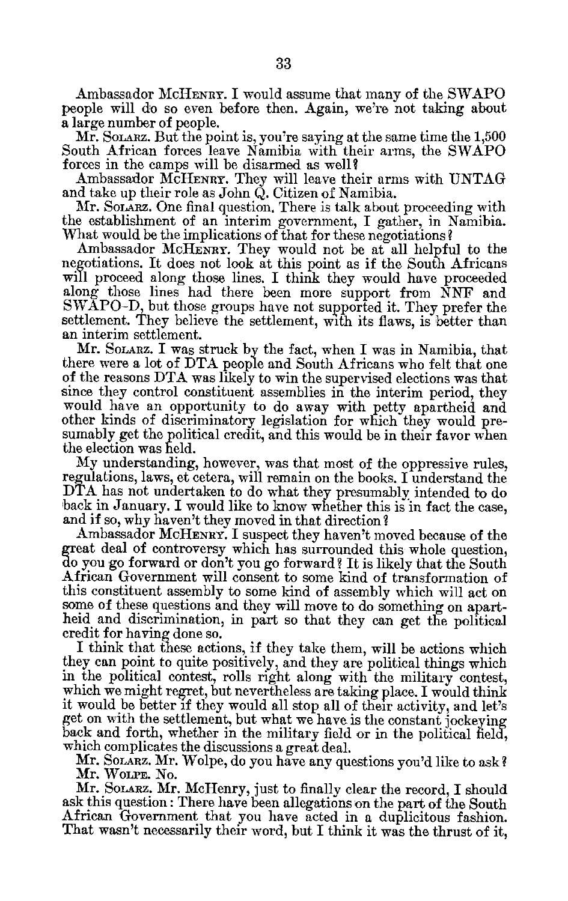Ambassador MCHENRY. I would assume that many of the SWAPO people will do so even before then. Again, we're not taking about a large number of people.

Mr. SOLARZ. But the point is, you're saying at the same time the 1,500 South African forces leave Namibia with their arms, the SWAPO forces in the camps will be disarmed as well?

Ambassador McHENRY. They will leave their arms with UNTAG and take up their role as John Q. Citizen of Namibia.

Mr. Solarz. One final question. There is talk about proceeding with the establishment of an interim government, I gather, in Namibia. What would be the implications of that for these negotiations?

Ambassador MCHENRY. They would not be at all helpful to the negotiations. It does not look at this point as if the South Africans will proceed along those lines. I think they would have proceeded along those lines had there been more support from NNF and SWAPO-D, but those groups have not supported it. They prefer the settlement. They believe the settlement, with its flaws, is better than an interim settlement.

Mr. **SOLARZ.** I was struck by the fact, when I was in Namibia, that there were a lot of DTA people and South Africans who felt that one of the reasons DTA was likely to win the supervised elections was that since they control constituent assemblies in the interim period, they would have an opportunity to do away with petty apartheid and other kinds of discriminatory legislation for which they would pre sumably get the political credit, and this would be in their favor when the election was held.

My understanding, however, was that most of the oppressive rules, regulations, laws, et cetera, will remain on the books. I understand the DTA has not undertaken to do what they presumably intended to do back in January. I would like to know whether this is in fact the case, and if so, why haven't they moved in that direction?

Ambassador McHENRY. I suspect they haven't moved because of the great deal of controversy which has surrounded this whole question, doyou go forward or don't you go forward? It is likely that the South African Government will consent to some kind of transformation of this constituent assembly to some kind of assembly which will act on some of these questions and they will move to do something on apart heid and discrimination, in part so that they can get the political credit for having done so.

I think that these actions, if they take them, will be actions which they can point to quite positively, and they are political things which in the political contest, rolls right along with the military contest, which we might regret, but nevertheless are taking place. I would think it would be better if they would all stop all of their activity, and let's get on with the settlement, but what we have is the constant jockeying back and forth, whether in the military field or in the political field, which complicates the discussions a great deal.

Mr. **SOLARZ.** Mr. Wolpe, do you have any questions you'd like to ask? Mr. **WOLPE.** No.

Mr. SOLARZ. Mr. McHenry, just to finally clear the record, I should ask this question: There have been allegations on the part of the South African Government that you have acted in a duplicitous fashion. That wasn't necessarily their word, but I think it was the thrust of it,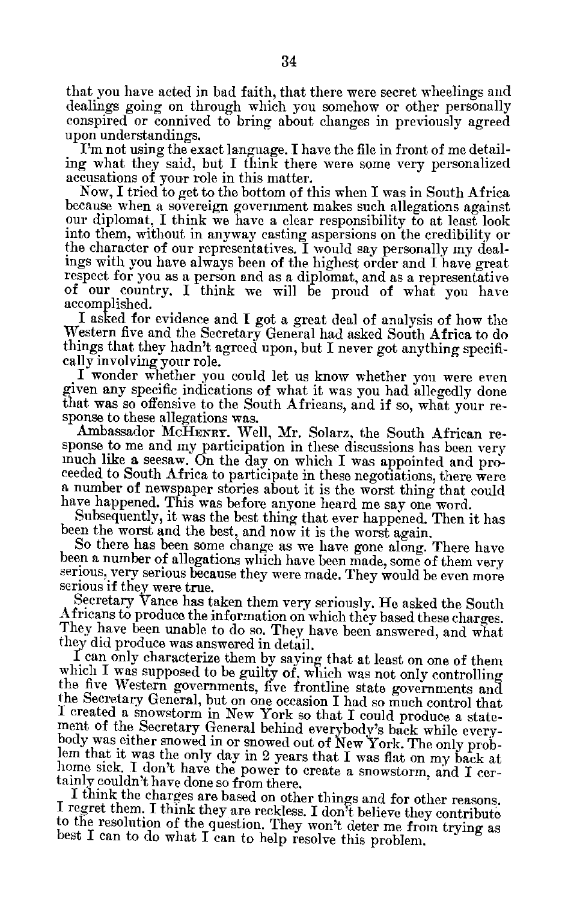that you have acted in bad faith, that there were secret wheelings and dealings going on through which you somehow or other personally conspired or connived to bring about changes in previously agreed upon understandings.

I'm not using the exact language. I have the file in front of me detail ing what they said, but I think there were some very personalized accusations of your role in this matter.<br>Now, I tried to get to the bottom of this when I was in South Africa

because when a sovereign government makes such allegations against our diplomat, I think we have a clear responsibility to at least look into them, without in anyway casting aspersions on the credibility or<br>the character of our representatives. I would say personally my deal-<br>ings with you have always been of the highest order and I have great respect for you as a person and as a diplomat, and as a representative of our country. I think we will be proud of what you have accomplished.

I asked for evidence and I got a great deal of analysis of how the Western five and the Secretary General had asked South Africa to do things that they hadn't agreed upon, but I never got anything specifi

cally involving your role.<br>I wonder whether you could let us know whether you were even given any specific indications of what it was you had allegedly done that was so offensive to the South Africans, and if so, what your re sponse to these allegations was.

Ambassador McHENRY. Well, Mr. Solarz, the South African response to me and my participation in these discussions has been very much like a seesaw. On the day on which I was appointed and proceeded to South Africa to participate in these negotiations, there were a number of newspaper stories about it is the worst thing that could have happened. This was before anyone heard me say one word.

Subsequently, it was the best thing that ever happened. Then it has been the worst and the best, and now it is the worst again.<br>So there has been some change as we have gone along. There have

been a number of allegations which have been made, some of them very serious, very serious because they were made. They would be even more

serious if they were true.<br>Secretary Vance has taken them very seriously. He asked the South Africans to produce the information on which they based these charges.<br>They have been unable to do so. They have been answered, and what they did produce was answered in detail.<br>I can only characterize them by saying that at least on one of them

which I was supposed to be guilty of, which was not only controlling<br>the five Western governments, five frontline state governments and<br>the Secretary General, but on one occasion I had so much control that<br>I created a snow body was either snowed in or snowed out of New York. The only problem that it was the only day in 2 years that I was flat on my back at home siek. I don't have the power to create a snowstorm, and I certainly couldn't have

to the resolution of the question. They won't deter me from trying as best I can to do what **<sup>I</sup>**can to help resolve this problem.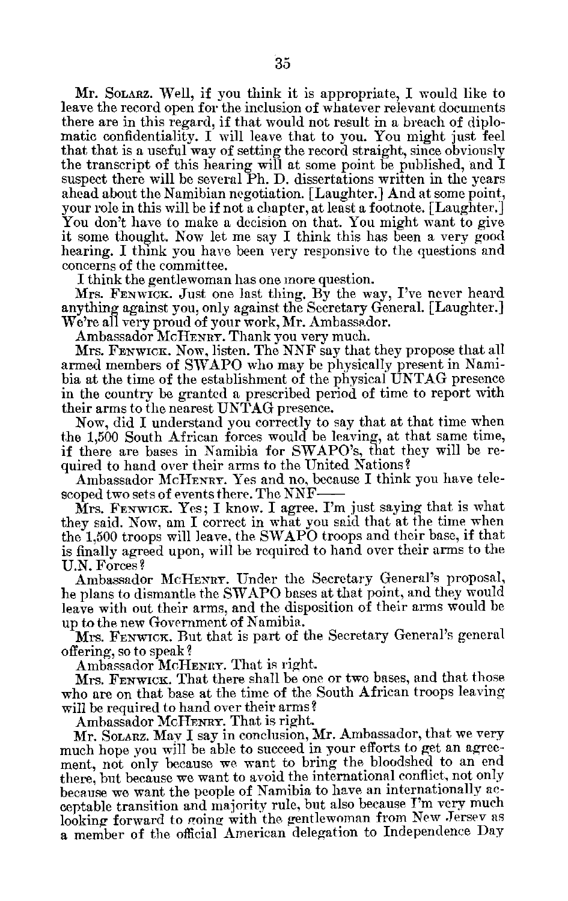Mr. SOLARZ. Well, if you think it is appropriate, I would like to leave the record open for the inclusion of whatever relevant documents there are in this regard, if that would not result in a breach of diplo matic confidentiality. I will leave that to you. You might just feel that that is a useful way of setting the record straight, since obviously the transcript of this hearing will at some point be published, and I suspect there will be several Ph. D. dissertations written in the years ahead about the Namibian negotiation. [Laughter.] And at some point, your role in this will be if not a chapter, at least a footnote. [Laughter.] You don't have to make a decision on that. You might want to give it some thought. Now let me say I think this has been a very good hearing. I think you have been very responsive to the questions and concerns of the committee.

I think the gentlewoman has one more question.

Mrs. FENWICK. Just one last thing. By the way, I've never heard anything against you, only against the Secretary General. [Laughter.] We're all very proud of your work, Mr. Ambassador.

Ambassador McHENRY. Thank you very much.

Mrs. FENWIcK. Now, listen. The NNF say that they propose that all armed members of SWAPO who may be physically present in Nami bia at the time of the establishment of the physical UNTAG presence in the country be granted a prescribed period of time to report with their arms to the nearest UNTAG presence.

Now, did I understand you correctly to say that at that time when the 1,500 South African forces would be leaving, at that same time, if there are bases in Namibia for SWAPO's, that they will be re quired to hand over their arms to the United Nations?

Ambassador MCHENRY. Yes and no, because I think you have tele scoped two sets of events there. The NNF

Mrs. FENWICK. Yes; I know. I agree. I'm just saying that is what they said. Now, am I correct in what you said that at the time when the 1,500 troops will leave, the SWAPO troops and their base, if that is finally agreed upon, will be required to hand over their arms to the U.N. Forces?

Ambassador McHENRY. Under the Secretary General's proposal, he plans to dismantle the SWAPO bases at that point, and they would leave with out their arms, and the disposition of their arms would be up to the new Government of Namibia.

Mrs. FENWICK. But that is part of the Secretary General's general offering, so to speak?

Ambassador McHENRY. That is right.

Mrs. **FENWICK.** That there shall be one or two bases, and that those who are on that base at the time of the South African troops leaving will be required to hand over their arms?

Ambassador McHENRY. That is right.

Mr. SOLARZ. May I say in conclusion, Mr. Ambassador, that we very much hope you will be able to succeed in your efforts to get an agree ment, not only because we want to bring the bloodshed to an end there, but because we want to avoid the international conflict, not only because we want the people of Namibia to have an internationally ac ceptable transition and majority rule, but also because T'm very much looking forward to going with the gentlewoman from New Jersey as a member of the official American delegation to Independence Day